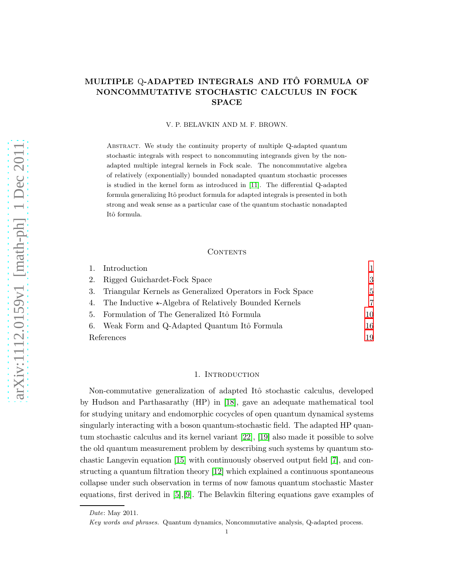# MULTIPLE Q-ADAPTED INTEGRALS AND ITO FORMULA OF NONCOMMUTATIVE STOCHASTIC CALCULUS IN FOCK SPACE

V. P. BELAVKIN AND M. F. BROWN.

Abstract. We study the continuity property of multiple Q-adapted quantum stochastic integrals with respect to noncommuting integrands given by the nonadapted multiple integral kernels in Fock scale. The noncommutative algebra of relatively (exponentially) bounded nonadapted quantum stochastic processes is studied in the kernel form as introduced in [\[11\]](#page-19-0). The differential Q-adapted formula generalizing Itô product formula for adapted integrals is presented in both strong and weak sense as a particular case of the quantum stochastic nonadapted Itô formula.

### **CONTENTS**

| 1.         | Introduction                                                    |    |
|------------|-----------------------------------------------------------------|----|
|            | 2. Rigged Guichardet-Fock Space                                 | 3  |
| 3.         | Triangular Kernels as Generalized Operators in Fock Space       | 5  |
|            | 4. The Inductive $\star$ -Algebra of Relatively Bounded Kernels | 7  |
| 5.         | Formulation of The Generalized Itô Formula                      | 10 |
| 6.         | Weak Form and Q-Adapted Quantum Itô Formula                     | 16 |
| References |                                                                 | 19 |

## 1. INTRODUCTION

<span id="page-0-0"></span>Non-commutative generalization of adapted Itô stochastic calculus, developed by Hudson and Parthasarathy (HP) in [\[18\]](#page-19-1), gave an adequate mathematical tool for studying unitary and endomorphic cocycles of open quantum dynamical systems singularly interacting with a boson quantum-stochastic field. The adapted HP quantum stochastic calculus and its kernel variant [\[22\]](#page-19-2), [\[19\]](#page-19-3) also made it possible to solve the old quantum measurement problem by describing such systems by quantum stochastic Langevin equation [\[15\]](#page-19-4) with continuously observed output field [\[7\]](#page-19-5), and constructing a quantum filtration theory [\[12\]](#page-19-6) which explained a continuous spontaneous collapse under such observation in terms of now famous quantum stochastic Master equations, first derived in [\[5\]](#page-19-7),[\[9\]](#page-19-8). The Belavkin filtering equations gave examples of

Date: May 2011.

Key words and phrases. Quantum dynamics, Noncommutative analysis, Q-adapted process. 1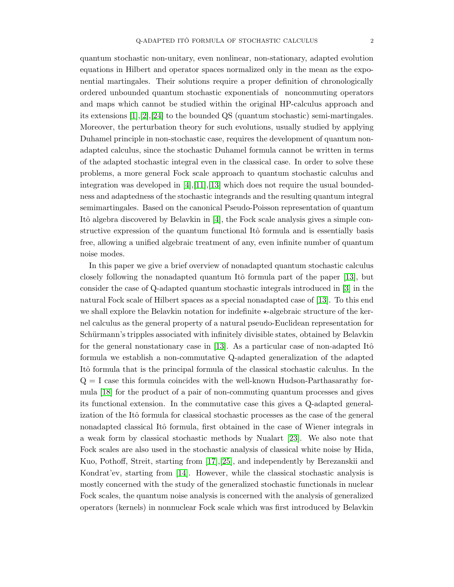quantum stochastic non-unitary, even nonlinear, non-stationary, adapted evolution equations in Hilbert and operator spaces normalized only in the mean as the exponential martingales. Their solutions require a proper definition of chronologically ordered unbounded quantum stochastic exponentials of noncommuting operators and maps which cannot be studied within the original HP-calculus approach and its extensions  $[1],[2],[24]$  $[1],[2],[24]$  $[1],[2],[24]$  $[1],[2],[24]$  to the bounded QS (quantum stochastic) semi-martingales. Moreover, the perturbation theory for such evolutions, usually studied by applying Duhamel principle in non-stochastic case, requires the development of quantum nonadapted calculus, since the stochastic Duhamel formula cannot be written in terms of the adapted stochastic integral even in the classical case. In order to solve these problems, a more general Fock scale approach to quantum stochastic calculus and integration was developed in  $[4]$ , $[11]$ , $[13]$  which does not require the usual boundedness and adaptedness of the stochastic integrands and the resulting quantum integral semimartingales. Based on the canonical Pseudo-Poisson representation of quantum Itô algebra discovered by Belavkin in  $[4]$ , the Fock scale analysis gives a simple constructive expression of the quantum functional Itô formula and is essentially basis free, allowing a unified algebraic treatment of any, even infinite number of quantum noise modes.

In this paper we give a brief overview of nonadapted quantum stochastic calculus closely following the nonadapted quantum Itô formula part of the paper  $[13]$ , but consider the case of Q-adapted quantum stochastic integrals introduced in [\[3\]](#page-18-4) in the natural Fock scale of Hilbert spaces as a special nonadapted case of [\[13\]](#page-19-10). To this end we shall explore the Belavkin notation for indefinite  $\star$ -algebraic structure of the kernel calculus as the general property of a natural pseudo-Euclidean representation for Schürmann's tripples associated with infinitely divisible states, obtained by Belavkin for the general nonstationary case in  $[13]$ . As a particular case of non-adapted Itô formula we establish a non-commutative Q-adapted generalization of the adapted Itô formula that is the principal formula of the classical stochastic calculus. In the  $Q = I$  case this formula coincides with the well-known Hudson-Parthasarathy formula [\[18\]](#page-19-1) for the product of a pair of non-commuting quantum processes and gives its functional extension. In the commutative case this gives a Q-adapted generalization of the Itô formula for classical stochastic processes as the case of the general nonadapted classical Itô formula, first obtained in the case of Wiener integrals in a weak form by classical stochastic methods by Nualart [\[23\]](#page-19-11). We also note that Fock scales are also used in the stochastic analysis of classical white noise by Hida, Kuo, Pothoff, Streit, starting from [\[17\]](#page-19-12),[\[25\]](#page-19-13), and independently by Berezanskii and Kondrat'ev, starting from [\[14\]](#page-19-14). However, while the classical stochastic analysis is mostly concerned with the study of the generalized stochastic functionals in nuclear Fock scales, the quantum noise analysis is concerned with the analysis of generalized operators (kernels) in nonnuclear Fock scale which was first introduced by Belavkin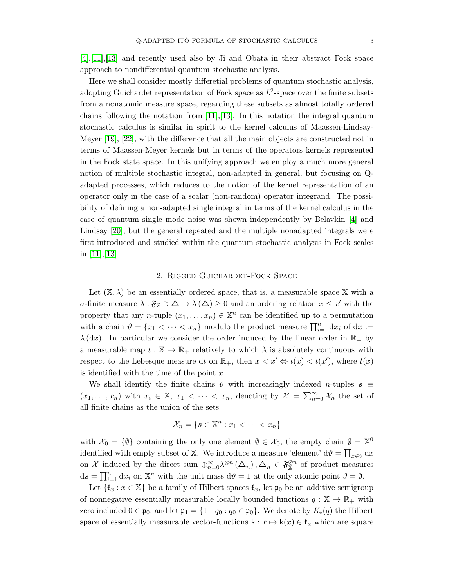[\[4\]](#page-18-3),[\[11\]](#page-19-0),[\[13\]](#page-19-10) and recently used also by Ji and Obata in their abstract Fock space approach to nondifferential quantum stochastic analysis.

Here we shall consider mostly differetial problems of quantum stochastic analysis, adopting Guichardet representation of Fock space as  $L^2$ -space over the finite subsets from a nonatomic measure space, regarding these subsets as almost totally ordered chains following the notation from  $[11],[13]$  $[11],[13]$ . In this notation the integral quantum stochastic calculus is similar in spirit to the kernel calculus of Maassen-Lindsay-Meyer [\[19\]](#page-19-3), [\[22\]](#page-19-2), with the difference that all the main objects are constructed not in terms of Maassen-Meyer kernels but in terms of the operators kernels represented in the Fock state space. In this unifying approach we employ a much more general notion of multiple stochastic integral, non-adapted in general, but focusing on Qadapted processes, which reduces to the notion of the kernel representation of an operator only in the case of a scalar (non-random) operator integrand. The possibility of defining a non-adapted single integral in terms of the kernel calculus in the case of quantum single mode noise was shown independently by Belavkin [\[4\]](#page-18-3) and Lindsay [\[20\]](#page-19-15), but the general repeated and the multiple nonadapted integrals were first introduced and studied within the quantum stochastic analysis in Fock scales in [\[11\]](#page-19-0),[\[13\]](#page-19-10).

#### 2. Rigged Guichardet-Fock Space

<span id="page-2-0"></span>Let  $(\mathbb{X}, \lambda)$  be an essentially ordered space, that is, a measurable space  $\mathbb{X}$  with a σ-finite measure  $\lambda$ : ξ<sub>X</sub> ∋  $\Delta$  →  $\lambda$  ( $\Delta$ ) ≥ 0 and an ordering relation  $x \leq x'$  with the property that any *n*-tuple  $(x_1, \ldots, x_n) \in \mathbb{X}^n$  can be identified up to a permutation with a chain  $\vartheta = \{x_1 < \cdots < x_n\}$  modulo the product measure  $\prod_{i=1}^n dx_i$  of  $dx :=$  $\lambda$  (dx). In particular we consider the order induced by the linear order in  $\mathbb{R}_+$  by a measurable map  $t : \mathbb{X} \to \mathbb{R}_+$  relatively to which  $\lambda$  is absolutely continuous with respect to the Lebesque measure dt on  $\mathbb{R}_+$ , then  $x < x' \Leftrightarrow t(x) < t(x')$ , where  $t(x)$ is identified with the time of the point  $x$ .

We shall identify the finite chains  $\vartheta$  with increasingly indexed *n*-tuples  $s \equiv$  $(x_1,...,x_n)$  with  $x_i \in \mathbb{X}, x_1 < \cdots < x_n$ , denoting by  $\mathcal{X} = \sum_{n=0}^{\infty} \mathcal{X}_n$  the set of all finite chains as the union of the sets

$$
\mathcal{X}_n = \{ \mathbf{s} \in \mathbb{X}^n : x_1 < \cdots < x_n \}
$$

with  $\mathcal{X}_0 = \{\emptyset\}$  containing the only one element  $\emptyset \in \mathcal{X}_0$ , the empty chain  $\emptyset = \mathbb{X}^0$ identified with empty subset of X. We introduce a measure 'element'  $d\theta = \prod_{x \in \theta} dx$ on X induced by the direct sum  $\bigoplus_{n=0}^{\infty} \lambda^{\otimes n}(\Delta_n), \Delta_n \in \mathfrak{F}_{\mathbb{X}}^{\otimes n}$  of product measures  $ds = \prod_{i=1}^{n} dx_i$  on  $\mathbb{X}^n$  with the unit mass  $d\theta = 1$  at the only atomic point  $\theta = \emptyset$ .

Let  $\{\mathfrak{k}_x : x \in \mathbb{X}\}\$  be a family of Hilbert spaces  $\mathfrak{k}_x$ , let  $\mathfrak{p}_0$  be an additive semigroup of nonnegative essentially measurable locally bounded functions  $q : \mathbb{X} \to \mathbb{R}_+$  with zero included  $0 \in \mathfrak{p}_0$ , and let  $\mathfrak{p}_1 = \{1+q_0 : q_0 \in \mathfrak{p}_0\}$ . We denote by  $K_\star(q)$  the Hilbert space of essentially measurable vector-functions  $k : x \mapsto k(x) \in \mathfrak{k}_x$  which are square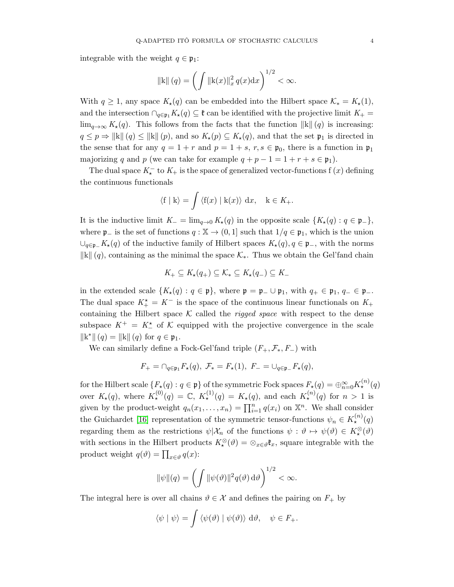integrable with the weight  $q \in \mathfrak{p}_1$ :

$$
||\mathbf{k}||(q) = \left(\int ||\mathbf{k}(x)||_x^2 q(x) dx\right)^{1/2} < \infty.
$$

With  $q \geq 1$ , any space  $K_{\star}(q)$  can be embedded into the Hilbert space  $\mathcal{K}_{*} = K_{\star}(1)$ , and the intersection  $\bigcap_{q\in\mathfrak{p}_1}K_{\star}(q)\subseteq\mathfrak{k}$  can be identified with the projective limit  $K_+$  $\lim_{q\to\infty} K_{\star}(q)$ . This follows from the facts that the function  $\|k\| (q)$  is increasing:  $q \leq p \Rightarrow ||\mathbf{k}|| (q) \leq ||\mathbf{k}|| (p)$ , and so  $K_{\star}(p) \subseteq K_{\star}(q)$ , and that the set  $\mathfrak{p}_1$  is directed in the sense that for any  $q = 1 + r$  and  $p = 1 + s$ ,  $r, s \in \mathfrak{p}_0$ , there is a function in  $\mathfrak{p}_1$ majorizing q and p (we can take for example  $q + p - 1 = 1 + r + s \in \mathfrak{p}_1$ ).

The dual space  $K_{\star}^-$  to  $K_{+}$  is the space of generalized vector-functions f  $(x)$  defining the continuous functionals

$$
\langle \mathbf{f} \mid \mathbf{k} \rangle = \int \langle \mathbf{f}(x) \mid \mathbf{k}(x) \rangle \, dx, \quad \mathbf{k} \in K_+.
$$

It is the inductive limit  $K_-=\lim_{q\to 0} K_{\star}(q)$  in the opposite scale  $\{K_{\star}(q): q\in \mathfrak{p}_-\}$ , where  $\mathfrak{p}_-$  is the set of functions  $q : \mathbb{X} \to (0,1]$  such that  $1/q \in \mathfrak{p}_1$ , which is the union  $\cup_{q\in\mathfrak{p}_-} K_\star(q)$  of the inductive family of Hilbert spaces  $K_\star(q)$ ,  $q\in\mathfrak{p}_-$ , with the norms  $\|\mathbf{k}\|$  (q), containing as the minimal the space  $\mathcal{K}_*$ . Thus we obtain the Gel'fand chain

$$
K_+ \subseteq K_\star(q_+) \subseteq \mathcal{K}_* \subseteq K_\star(q_-) \subseteq K_-
$$

in the extended scale  $\{K_\star(q): q \in \mathfrak{p}\}\,$ , where  $\mathfrak{p} = \mathfrak{p}_-\cup \mathfrak{p}_1$ , with  $q_+ \in \mathfrak{p}_1, q_- \in \mathfrak{p}_-$ . The dual space  $K_{+}^{\star} = K^{-}$  is the space of the continuous linear functionals on  $K_{+}$ containing the Hilbert space  $K$  called the *rigged space* with respect to the dense subspace  $K^+ = K^*$  of K equipped with the projective convergence in the scale  $\|k^*\| (q) = \|k\| (q)$  for  $q \in \mathfrak{p}_1$ .

We can similarly define a Fock-Gel'fand triple  $(F_+, \mathcal{F}_*, F_-)$  with

$$
F_+ = \bigcap_{q \in \mathfrak{p}_1} F_{\star}(q), \ \mathcal{F}_{*} = F_{\star}(1), \ F_- = \bigcup_{q \in \mathfrak{p}_-} F_{\star}(q),
$$

for the Hilbert scale  $\{F_\star(q): q\in \mathfrak{p}\}$  of the symmetric Fock spaces  $F_\star(q)=\oplus_{n=0}^\infty K_\star^{(n)}(q)$ over  $K_{\star}(q)$ , where  $K_{\star}^{(0)}(q) = \mathbb{C}$ ,  $K_{\star}^{(1)}(q) = K_{\star}(q)$ , and each  $K_{\star}^{(n)}(q)$  for  $n > 1$  is given by the product-weight  $q_n(x_1,...,x_n) = \prod_{i=1}^n q(x_i)$  on  $\mathbb{X}^n$ . We shall consider the Guichardet [\[16\]](#page-19-16) representation of the symmetric tensor-functions  $\psi_n \in K_{\star}^{(n)}(q)$ regarding them as the restrictions  $\psi | \mathcal{X}_n$  of the functions  $\psi : \vartheta \mapsto \psi(\vartheta) \in K_\star^\otimes(\vartheta)$ with sections in the Hilbert products  $K_{\star}^{\otimes}(\vartheta) = \otimes_{x \in \vartheta} \mathfrak{k}_x$ , square integrable with the product weight  $q(\vartheta) = \prod_{x \in \vartheta} q(x)$ :

$$
\|\psi\|(q) = \left(\int \|\psi(\vartheta)\|^2 q(\vartheta) d\vartheta\right)^{1/2} < \infty.
$$

The integral here is over all chains  $\vartheta \in \mathcal{X}$  and defines the pairing on  $F_+$  by

$$
\langle \psi | \psi \rangle = \int \langle \psi(\vartheta) | \psi(\vartheta) \rangle \, d\vartheta, \quad \psi \in F_+.
$$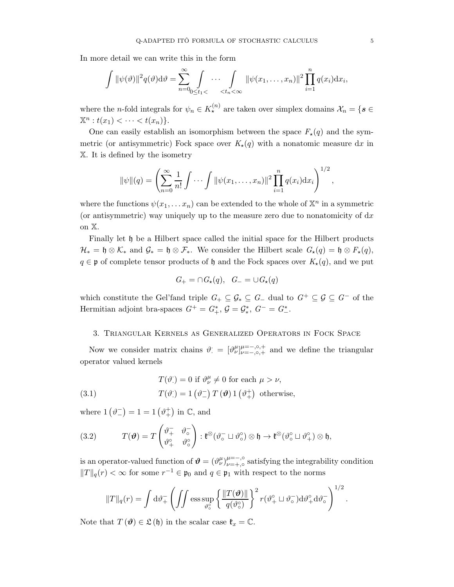In more detail we can write this in the form

$$
\int \|\psi(\vartheta)\|^2 q(\vartheta) d\vartheta = \sum_{n=0}^{\infty} \int_{0 \le t_1 < \cdots < t_n < \infty} \|\psi(x_1, \ldots, x_n)\|^2 \prod_{i=1}^n q(x_i) dx_i,
$$

where the *n*-fold integrals for  $\psi_n \in K_{\star}^{(n)}$  are taken over simplex domains  $\mathcal{X}_n = \{ s \in$  $\mathbb{X}^n : t(x_1) < \cdots < t(x_n) \}.$ 

One can easily establish an isomorphism between the space  $F_{\star}(q)$  and the symmetric (or antisymmetric) Fock space over  $K_{\star}(q)$  with a nonatomic measure dx in X. It is defined by the isometry

$$
\|\psi\|(q) = \left(\sum_{n=0}^{\infty} \frac{1}{n!} \int \cdots \int \|\psi(x_1,\ldots,x_n)\|^2 \prod_{i=1}^n q(x_i) \mathrm{d}x_i\right)^{1/2},
$$

where the functions  $\psi(x_1, \ldots, x_n)$  can be extended to the whole of  $\mathbb{X}^n$  in a symmetric (or antisymmetric) way uniquely up to the measure zero due to nonatomicity of  $dx$ on X.

Finally let h be a Hilbert space called the initial space for the Hilbert products  $\mathcal{H}_* = \mathfrak{h} \otimes \mathcal{K}_*$  and  $\mathcal{G}_* = \mathfrak{h} \otimes \mathcal{F}_*$ . We consider the Hilbert scale  $G_*(q) = \mathfrak{h} \otimes F_*(q)$ ,  $q \in \mathfrak{p}$  of complete tensor products of  $\mathfrak{h}$  and the Fock spaces over  $K_{\star}(q)$ , and we put

$$
G_{+} = \cap G_{\star}(q), \quad G_{-} = \cup G_{\star}(q)
$$

which constitute the Gel'fand triple  $G_+ \subseteq \mathcal{G}_* \subseteq G_-$  dual to  $G^+ \subseteq \mathcal{G} \subseteq G^-$  of the Hermitian adjoint bra-spaces  $G^+ = G^*_+$ ,  $G = \mathcal{G}^*_*$ ,  $G^- = G^*_-$ .

#### <span id="page-4-0"></span>3. Triangular Kernels as Generalized Operators in Fock Space

Now we consider matrix chains  $\vartheta = [\vartheta^{\mu}_{\nu}]_{\nu=-,\circ,+}^{\mu=-,\circ,+}$  and we define the triangular operator valued kernels

(3.1) 
$$
T(\vartheta) = 0 \text{ if } \vartheta_{\nu}^{\mu} \neq 0 \text{ for each } \mu > \nu,
$$

$$
T(\vartheta) = 1 (\vartheta_{-}) T(\vartheta) 1 (\vartheta_{+}^{+}) \text{ otherwise},
$$

where  $1\left(\vartheta_{-}^{-}\right) = 1 = 1\left(\vartheta_{+}^{+}\right)$  in  $\mathbb{C}$ , and

<span id="page-4-1"></span>(3.2) 
$$
T(\boldsymbol{\vartheta}) = T\begin{pmatrix} \vartheta_+^{\top} & \vartheta_0^- \\ \vartheta_+^{\circ} & \vartheta_0^{\circ} \end{pmatrix} : \mathfrak{k}^{\otimes} (\vartheta_0^- \sqcup \vartheta_0^{\circ}) \otimes \mathfrak{h} \to \mathfrak{k}^{\otimes} (\vartheta_0^{\circ} \sqcup \vartheta_+^{\circ}) \otimes \mathfrak{h},
$$

is an operator-valued function of  $\theta = (\vartheta^{\mu}_{\nu})_{\nu=+,\circ}^{\mu=-,\circ}$  $\mu=-\infty$ , satisfying the integrability condition  $||T||_q(r) < \infty$  for some  $r^{-1} \in \mathfrak{p}_0$  and  $q \in \mathfrak{p}_1$  with respect to the norms

$$
||T||_q(r) = \int d\vartheta_+^-\left(\iint \mathrm{ess} \sup_{\vartheta_0^{\circ}} \left\{\frac{||T(\vartheta)||}{q(\vartheta_0^{\circ})}\right\}^2 r(\vartheta_+^{\circ} \sqcup \vartheta_{\circ}^-) d\vartheta_+^{\circ} d\vartheta_{\circ}^-\right)^{1/2}.
$$

Note that  $T(\theta) \in \mathfrak{L}(\mathfrak{h})$  in the scalar case  $\mathfrak{k}_x = \mathbb{C}$ .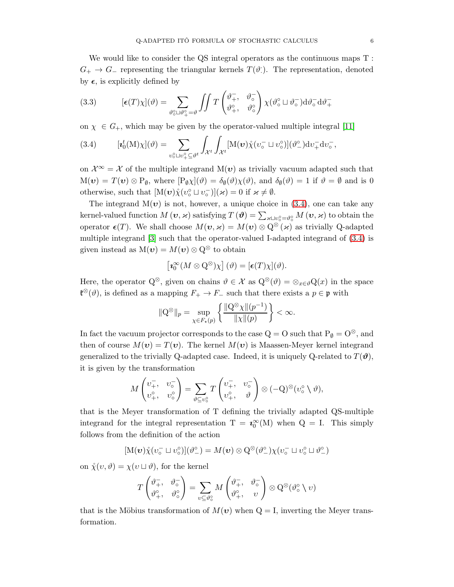We would like to consider the QS integral operators as the continuous maps  $T$ :  $G_+ \to G_-$  representing the triangular kernels  $T(\vartheta)$ . The representation, denoted by  $\epsilon$ , is explicitly defined by

<span id="page-5-1"></span>(3.3) 
$$
[\epsilon(T)\chi](\vartheta) = \sum_{\vartheta_0^{\circ}\sqcup\vartheta_+^{\circ}=\vartheta} \iint T\begin{pmatrix} \vartheta_+^-, & \vartheta_0^- \\ \vartheta_+^{\circ}, & \vartheta_0^{\circ} \end{pmatrix} \chi(\vartheta_0^{\circ} \sqcup \vartheta_0^-) d\vartheta_0^- d\vartheta_+^+
$$

on  $\chi \in G_+$ , which may be given by the operator-valued multiple integral [\[11\]](#page-19-0)

<span id="page-5-0"></span>(3.4) 
$$
[\imath_0^t(M)\chi](\vartheta) = \sum_{v_0^{\circ}\sqcup v_+^{\circ}\subseteq\vartheta^t} \int_{\mathcal{X}^t} \int_{\mathcal{X}^t} [M(\boldsymbol{v})\chi(v_0^- \sqcup v_0^{\circ})](\vartheta_-^{\circ}) dv_+^{\dagger} dv_0^{\dagger},
$$

on  $\mathcal{X}^{\infty} = \mathcal{X}$  of the multiple integrand  $M(v)$  as trivially vacuum adapted such that  $M(\boldsymbol{\upsilon}) = T(\boldsymbol{\upsilon}) \otimes P_{\emptyset}$ , where  $[P_{\emptyset} \chi](\vartheta) = \delta_{\emptyset}(\vartheta) \chi(\vartheta)$ , and  $\delta_{\emptyset}(\vartheta) = 1$  if  $\vartheta = \emptyset$  and is 0 otherwise, such that  $[M(v)\chi(v_0^{\circ} \sqcup v_0^-)](\varkappa) = 0$  if  $\varkappa \neq \emptyset$ .

The integrand  $M(v)$  is not, however, a unique choice in  $(3.4)$ , one can take any kernel-valued function  $M(v, \varkappa)$  satisfying  $T(v) = \sum_{\varkappa \sqcup v_0^{\circ} = \vartheta_0^{\circ}} M(v, \varkappa)$  to obtain the operator  $\epsilon(T)$ . We shall choose  $M(\boldsymbol{\nu}, \boldsymbol{\varkappa}) = M(\boldsymbol{\nu}) \otimes Q^{\otimes}(\boldsymbol{\varkappa})$  as trivially Q-adapted multiple integrand [\[3\]](#page-18-4) such that the operator-valued I-adapted integrand of [\(3.4\)](#page-5-0) is given instead as  $M(v) = M(v) \otimes Q^{\otimes}$  to obtain

$$
\left[\mathbf{z}_0^\infty(M\otimes \mathbf{Q}^\otimes)\chi\right](\vartheta)=[\boldsymbol{\epsilon}(T)\chi](\vartheta).
$$

Here, the operator  $Q^{\otimes}$ , given on chains  $\vartheta \in \mathcal{X}$  as  $Q^{\otimes}(\vartheta) = \otimes_{x \in \vartheta} Q(x)$  in the space  $\mathfrak{k}^{\otimes}(\vartheta)$ , is defined as a mapping  $F_+$  →  $F_-\,$  such that there exists a  $p \in \mathfrak{p}$  with

$$
\|Q^{\otimes}\|_p = \sup_{\chi \in F_{\star}(p)} \left\{ \frac{\|Q^{\otimes}\chi\|(p^{-1})}{\|\chi\|(p)} \right\} < \infty.
$$

In fact the vacuum projector corresponds to the case  $Q = O$  such that  $P_{\phi} = O^{\otimes}$ , and then of course  $M(v) = T(v)$ . The kernel  $M(v)$  is Maassen-Meyer kernel integrand generalized to the trivially Q-adapted case. Indeed, it is uniquely Q-related to  $T(\theta)$ , it is given by the transformation

$$
M\begin{pmatrix}v_+^-, & v_0^-\\v_+^\circ, & v_0^\circ\end{pmatrix} = \sum_{\vartheta\subseteq v_0^\circ}T\begin{pmatrix}v_+^-, & v_0^-\\v_+^\circ, & \vartheta\end{pmatrix}\otimes(-\mathbf{Q})^\otimes(v_0^\circ\setminus\vartheta),
$$

that is the Meyer transformation of T defining the trivially adapted QS-multiple integrand for the integral representation  $T = \mathbf{v}_0^{\infty}(M)$  when  $Q = I$ . This simply follows from the definition of the action

$$
[\mathbf{M}(\mathbf{v})\mathring{\chi}(v_{\circ}^-\sqcup v_{\circ}^{\circ})](\vartheta_{-}^{\circ})=M(\mathbf{v})\otimes \mathbf{Q}^{\otimes}(\vartheta_{-}^{\circ})\chi(v_{\circ}^-\sqcup v_{\circ}^{\circ}\sqcup \vartheta_{-}^{\circ})
$$

on  $\mathring{\chi}(v, \vartheta) = \chi(v \sqcup \vartheta)$ , for the kernel

$$
T\begin{pmatrix} \vartheta_+^-, & \vartheta_0^- \\ \vartheta_+^{\circ} , & \vartheta_0^{\circ} \end{pmatrix} = \sum_{v \subseteq \vartheta_0^{\circ}} M\begin{pmatrix} \vartheta_+^-, & \vartheta_0^- \\ \vartheta_+^{\circ} , & v \end{pmatrix} \otimes Q^{\otimes}(\vartheta_0^{\circ} \setminus v)
$$

that is the Möbius transformation of  $M(v)$  when  $Q = I$ , inverting the Meyer transformation.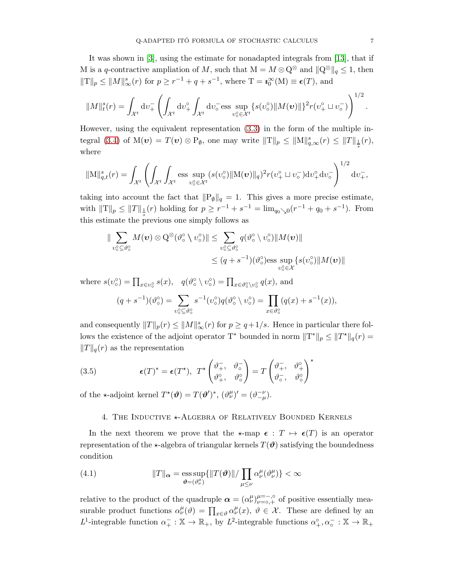It was shown in [\[3\]](#page-18-4), using the estimate for nonadapted integrals from [\[13\]](#page-19-10), that if M is a q-contractive ampliation of M, such that  $M = M \otimes \mathbb{Q}^{\otimes}$  and  $\|\mathbb{Q}^{\otimes}\|_{q} \leq 1$ , then  $||T||_p \le ||M||_{\infty}^s(r)$  for  $p \ge r^{-1} + q + s^{-1}$ , where  $T = \mathbf{z}_0^{\infty}(\mathbf{M}) \equiv \boldsymbol{\epsilon}(T)$ , and

$$
||M||_t^s(r) = \int_{\mathcal{X}^t} dv_+^-\left(\int_{\mathcal{X}^t} dv_+^{\circ} \int_{\mathcal{X}^t} dv_{\circ}^- \text{ess} \sup_{v_0^{\circ} \in \mathcal{X}^t} \{s(v_0^{\circ}) ||M(\boldsymbol{v})||\}^2 r(v_+^{\circ} \sqcup v_{\circ}^-)\right)^{1/2}.
$$

However, using the equivalent representation [\(3.3\)](#page-5-1) in the form of the multiple in-tegral [\(3.4\)](#page-5-0) of  $M(v) = T(v) \otimes P_{\emptyset}$ , one may write  $||T||_p \le ||M||_{q,\infty}^s(r) \le ||T||_{\frac{1}{s}}(r)$ , where

$$
\|\mathbf{M}\|_{q,t}^{s}(r) = \int_{\mathcal{X}^{t}} \left( \int_{\mathcal{X}^{t}} \int_{\mathcal{X}^{t}} \operatorname{ess} \sup_{v_{\circ}^{\circ} \in \mathcal{X}^{t}} (s(v_{\circ}^{\circ}) \|\mathbf{M}(\boldsymbol{v})\|_{q})^{2} r(v_{+}^{\circ} \sqcup v_{\circ}^{-}) \mathrm{d}v_{+}^{\circ} \mathrm{d}v_{\circ}^{-} \right)^{1/2} \mathrm{d}v_{+}^{T},
$$

taking into account the fact that  $\|P_{\emptyset}\|_{q} = 1$ . This gives a more precise estimate, with  $||T||_p \le ||T||_{\frac{1}{s}}(r)$  holding for  $p \ge r^{-1} + s^{-1} = \lim_{q_0 \searrow 0} (r^{-1} + q_0 + s^{-1})$ . From this estimate the previous one simply follows as

$$
\|\sum_{v^{\circ}\subseteq\vartheta^{\circ}_\circ}M(\boldsymbol{v})\otimes\mathrm{Q}^{\otimes}(\vartheta^{\circ}_\circ\setminus v^{\circ}_\circ)\| \leq \sum_{v^{\circ}\subseteq\vartheta^{\circ}_\circ}q(\vartheta^{\circ}_\circ\setminus v^{\circ}_\circ)\|M(\boldsymbol{v})\|
$$
  

$$
\leq (q+s^{-1})(\vartheta^{\circ}_\circ)\mathrm{ess}\sup_{v^{\circ}_\circ\in\mathcal{X}}\{s(v^{\circ}_\circ)\|M(\boldsymbol{v})\|
$$

where  $s(v_0^{\circ}) = \prod_{x \in v_0^{\circ}} s(x)$ ,  $q(\vartheta_0^{\circ} \setminus v_0^{\circ}) = \prod_{x \in \vartheta_0^{\circ} \setminus v_0^{\circ}} q(x)$ , and

$$
(q+s^{-1})(\vartheta_o^{\circ}) = \sum_{v_o^{\circ} \subseteq \vartheta_o^{\circ}} s^{-1}(v_o^{\circ}) q(\vartheta_o^{\circ} \setminus v_o^{\circ}) = \prod_{x \in \vartheta_o^{\circ}} (q(x) + s^{-1}(x)),
$$

and consequently  $||T||_p(r) \le ||M||_{\infty}^s(r)$  for  $p \ge q+1/s$ . Hence in particular there follows the existence of the adjoint operator T<sup>\*</sup> bounded in norm  $||T^*||_p \leq ||T^*||_q(r) =$  $||T||_q(r)$  as the representation

(3.5) 
$$
\epsilon(T)^* = \epsilon(T^*), \ T^* \begin{pmatrix} \vartheta_+^-, & \vartheta_0^- \\ \vartheta_+^{\circ}, & \vartheta_0^{\circ} \end{pmatrix} = T \begin{pmatrix} \vartheta_+^-, & \vartheta_+^{\circ} \\ \vartheta_-^-, & \vartheta_0^{\circ} \end{pmatrix}^*
$$

<span id="page-6-0"></span>of the  $\star$ -adjoint kernel  $T^{\star}(\vartheta) = T(\vartheta')^*, (\vartheta^{\mu}_{\nu})' = (\vartheta^{-\nu}_{-\mu}).$ 

# 4. THE INDUCTIVE **\*-ALGEBRA OF RELATIVELY BOUNDED KERNELS**

In the next theorem we prove that the  $\star$ -map  $\epsilon : T \mapsto \epsilon(T)$  is an operator representation of the  $\star$ -algebra of triangular kernels  $T(\theta)$  satisfying the boundedness condition

<span id="page-6-1"></span>(4.1) 
$$
||T||_{\alpha} = \underset{\boldsymbol{\vartheta} = (\vartheta_{\nu}^{\mu})}{\text{ess sup}} \{ ||T(\boldsymbol{\vartheta})|| / \prod_{\mu \leq \nu} \alpha_{\nu}^{\mu}(\vartheta_{\nu}^{\mu}) \} < \infty
$$

relative to the product of the quadruple  $\alpha = (\alpha^{\mu}_{\nu})_{\nu=0,+}^{\mu=-, \circ}$  of positive essentially measurable product functions  $\alpha^{\mu}_{\nu}(\vartheta) = \prod_{x \in \vartheta} \alpha^{\mu}_{\nu}(x), \ \vartheta \in \mathcal{X}$ . These are defined by an L<sup>1</sup>-integrable function  $\alpha^-_+ : \mathbb{X} \to \mathbb{R}_+$ , by L<sup>2</sup>-integrable functions  $\alpha^{\circ}_+$ ,  $\alpha^-_0 : \mathbb{X} \to \mathbb{R}_+$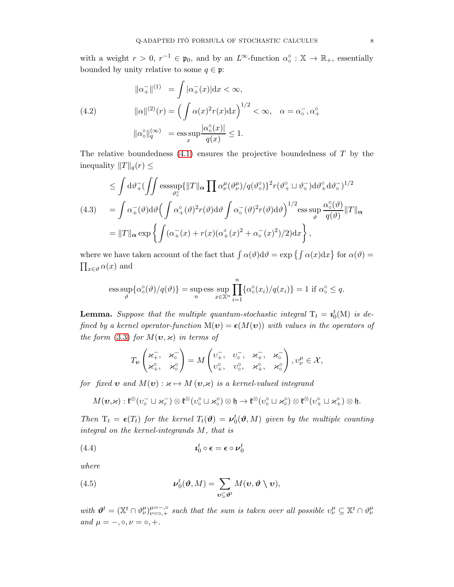with a weight  $r > 0$ ,  $r^{-1} \in \mathfrak{p}_0$ , and by an  $L^{\infty}$ -function  $\alpha_o^{\circ} : \mathbb{X} \to \mathbb{R}_+$ , essentially bounded by unity relative to some  $q \in \mathfrak{p}$ :

<span id="page-7-0"></span>(4.2) 
$$
\| \alpha_{+}^{-} \|^{(1)} = \int | \alpha_{+}^{-}(x) | dx < \infty,
$$

$$
\| \alpha \|^{(2)}(r) = \left( \int \alpha(x)^{2} r(x) dx \right)^{1/2} < \infty, \quad \alpha = \alpha_{\circ}^{-}, \alpha_{+}^{\circ}
$$

$$
\| \alpha_{\circ}^{\circ} \|_{q}^{(\infty)} = \operatorname{ess} \sup_{x} \frac{|\alpha_{\circ}^{\circ}(x)|}{q(x)} \le 1.
$$

The relative boundedness  $(4.1)$  ensures the projective boundedness of T by the inequality  $||T||_q(r) \leq$ 

<span id="page-7-2"></span>
$$
\leq \int d\vartheta_{+}^{-}(\int \int \mathrm{ess} \sup_{\vartheta_{0}^{o}} \{ \|T\|_{\alpha} \prod \alpha_{\nu}^{\mu}(\vartheta_{\nu}^{\mu})/q(\vartheta_{0}^{o})\}^{2} r(\vartheta_{+}^{o} \sqcup \vartheta_{0}^{-}) d\vartheta_{+}^{o} d\vartheta_{0}^{-})^{1/2}
$$
\n
$$
(4.3) \qquad = \int \alpha_{+}^{-}(\vartheta) d\vartheta \Big(\int \alpha_{+}^{o}(\vartheta)^{2} r(\vartheta) d\vartheta \int \alpha_{0}^{-}(\vartheta)^{2} r(\vartheta) d\vartheta \Big)^{1/2} \underset{\vartheta}{\mathop{\rm ess} \sup_{\vartheta} \alpha_{0}^{o}(\vartheta)} \|T\|_{\alpha}
$$
\n
$$
= \|T\|_{\alpha} \exp \left\{ \int (\alpha_{+}^{-}(x) + r(x)(\alpha_{+}^{o}(x)^{2} + \alpha_{0}^{-}(x)^{2})/2) dx \right\},
$$

where we have taken account of the fact that  $\int \alpha(\vartheta) d\vartheta = \exp \{ \int \alpha(x) dx \}$  for  $\alpha(\vartheta) =$  $\prod_{x \in \vartheta} \alpha(x)$  and

ess sup
$$
\{\alpha_0^{\circ}(\vartheta)/q(\vartheta)\}
$$
 = sup ess sup $\prod_{x \in \mathbb{X}^n} \{\alpha_0^{\circ}(x_i)/q(x_i)\} = 1$  if  $\alpha_0^{\circ} \leq q$ .

**Lemma.** Suppose that the multiple quantum-stochastic integral  $T_t = \mathbf{a}_0^t(M)$  is defined by a kernel operator-function  $M(v) = \epsilon(M(v))$  with values in the operators of the form [\(3.3\)](#page-5-1) for  $M(\mathbf{v}, \varkappa)$  in terms of

$$
T_{\pmb v}\begin{pmatrix} \varkappa^-_+,\quad \varkappa^-_{{\scriptscriptstyle\circ}} \\ \varkappa^{{\scriptscriptstyle\circ}}_+,\quad \varkappa^{{\scriptscriptstyle\circ}}_{{\scriptscriptstyle\circ}} \end{pmatrix} = M\begin{pmatrix} v^-_+,\quad v^-_{{\scriptscriptstyle\circ}},\quad \varkappa^-_+,\quad \varkappa^-_{{\scriptscriptstyle\circ}} \\ v^{{\scriptscriptstyle\circ}}_+,\quad v^{{\scriptscriptstyle\circ}}_{{\scriptscriptstyle\circ}},\quad \varkappa^{{\scriptscriptstyle\circ}}_+,\quad \varkappa^{{\scriptscriptstyle\circ}}_{{\scriptscriptstyle\circ}} \end{pmatrix}, v^{\mu}_{\nu}\in\mathcal{X},
$$

for fixed **v** and  $M(\mathbf{v}): \kappa \mapsto M(\mathbf{v}, \kappa)$  is a kernel-valued integrand

$$
M(\boldsymbol{v},\varkappa): \mathfrak{k}^{\otimes}(v_{\circ}^{-}\sqcup\varkappa_{\circ}^{-})\otimes\mathfrak{k}^{\otimes}(v_{\circ}^{\circ}\sqcup\varkappa_{\circ}^{\circ})\otimes\mathfrak{h}\to \mathfrak{k}^{\otimes}(v_{\circ}^{\circ}\sqcup\varkappa_{\circ}^{\circ})\otimes\mathfrak{k}^{\otimes}(v_{+}^{\circ}\sqcup\varkappa_{+}^{\circ})\otimes\mathfrak{h}.
$$

Then  $T_t = \epsilon(T_t)$  for the kernel  $T_t(\theta) = \nu_0^t(\theta, M)$  given by the multiple counting integral on the kernel-integrands M, that is

$$
(4.4) \t\t\t\t\t\boldsymbol{i}_0^t \circ \boldsymbol{\epsilon} = \boldsymbol{\epsilon} \circ \boldsymbol{\nu}_0^t
$$

where

<span id="page-7-1"></span>(4.5) 
$$
\boldsymbol{\nu}_0^t(\boldsymbol{\vartheta},M)=\sum_{\boldsymbol{v}\subseteq\boldsymbol{\vartheta}^t}M(\boldsymbol{v},\boldsymbol{\vartheta}\setminus\boldsymbol{v}),
$$

with  $\mathbf{\theta}^t = (\mathbb{X}^t \cap \theta^{\mu}_{\nu})_{\nu=0,+}^{\mu=-, \circ}$  such that the sum is taken over all possible  $v^{\mu}_{\nu} \subseteq \mathbb{X}^t \cap \theta^{\mu}_{\nu}$ and  $\mu = -$ ,  $\circ$ ,  $\nu = \circ$ ,  $+$ .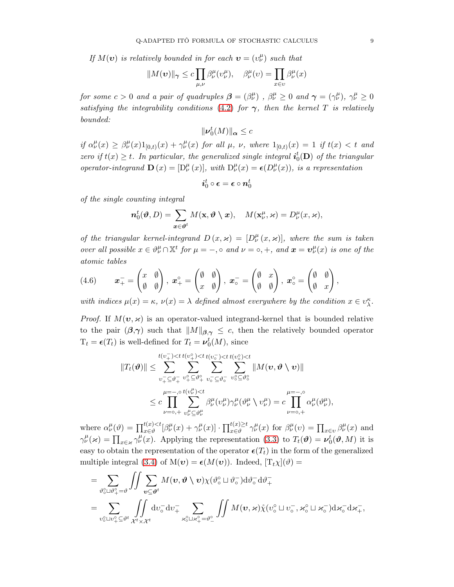If  $M(v)$  is relatively bounded in for each  $v = (v_{\nu}^{\mu})$  such that

$$
||M(v)||_{\gamma} \leq c \prod_{\mu,\nu} \beta^{\mu}_{\nu}(v^{\mu}_{\nu}), \quad \beta^{\mu}_{\nu}(v) = \prod_{x \in v} \beta^{\mu}_{\nu}(x)
$$

for some  $c > 0$  and a pair of quadruples  $\beta = (\beta^{\mu}_{\nu})$ ,  $\beta^{\mu}_{\nu} \ge 0$  and  $\gamma = (\gamma^{\mu}_{\nu})$ ,  $\gamma^{\mu}_{\nu} \ge 0$ satisfying the integrability conditions [\(4.2\)](#page-7-0) for  $\gamma$ , then the kernel T is relatively bounded:

$$
\|\nu_0^t(M)\|_{\alpha}\leq c
$$

if  $\alpha^{\mu}_{\nu}(x) \geq \beta^{\mu}_{\nu}(x)1_{[0,t)}(x) + \gamma^{\mu}_{\nu}(x)$  for all  $\mu$ ,  $\nu$ , where  $1_{[0,t)}(x) = 1$  if  $t(x) < t$  and zero if  $t(x) \geq t$ . In particular, the generalized single integral  $i_0^t(D)$  of the triangular operator-integrand  $\mathbf{D}(x) = [D_{\nu}^{\mu}(x)],$  with  $D_{\nu}^{\mu}(x) = \epsilon(D_{\nu}^{\mu}(x)),$  is a representation

$$
\bm{i}_0^t \circ \bm{\epsilon} = \bm{\epsilon} \circ \bm{n}_0^t
$$

of the single counting integral

$$
\boldsymbol{n}_{0}^{t}(\boldsymbol{\vartheta},D)=\sum_{\boldsymbol{x}\in\boldsymbol{\vartheta}^{t}}M(\mathbf{x},\boldsymbol{\vartheta}\setminus\boldsymbol{x}),\quad M(\mathbf{x}_{\nu}^{\mu},\varkappa)=D_{\nu}^{\mu}(\boldsymbol{x},\varkappa),
$$

of the triangular kernel-integrand  $D(x, x) = [D_{\nu}^{\mu}(x, x)]$ , where the sum is taken over all possible  $x \in \theta^{\mu}_{\nu} \cap \mathbb{X}^{t}$  for  $\mu = -$ ,  $\circ$  and  $\nu = \circ, +$ , and  $\boldsymbol{x} = \boldsymbol{v}^{\mu}_{\nu}(x)$  is one of the atomic tables

<span id="page-8-0"></span>(4.6) 
$$
\boldsymbol{x}_{+}^{-} = \begin{pmatrix} x & \emptyset \\ \emptyset & \emptyset \end{pmatrix}, \boldsymbol{x}_{+}^{\circ} = \begin{pmatrix} \emptyset & \emptyset \\ x & \emptyset \end{pmatrix}, \boldsymbol{x}_{\circ}^{-} = \begin{pmatrix} \emptyset & x \\ \emptyset & \emptyset \end{pmatrix}, \boldsymbol{x}_{\circ}^{\circ} = \begin{pmatrix} \emptyset & \emptyset \\ \emptyset & x \end{pmatrix},
$$

with indices  $\mu(x) = \kappa$ ,  $\nu(x) = \lambda$  defined almost everywhere by the condition  $x \in v_{\lambda}^{\kappa}$ .

*Proof.* If  $M(v, \varkappa)$  is an operator-valued integrand-kernel that is bounded relative to the pair  $(\beta, \gamma)$  such that  $||M||_{\beta, \gamma} \leq c$ , then the relatively bounded operator  $T_t = \epsilon(T_t)$  is well-defined for  $T_t = \nu_0^t(M)$ , since

$$
||T_t(\boldsymbol{\vartheta})|| \leq \sum_{v_+^-\subseteq \vartheta_+^-\}^{t(v_+^-) < t(v_+^0) < t(v_0^-) < t(v_0^0) < t}{\sum_{v_+^-\subseteq \vartheta_+^-\} \sum_{v_+^0 \subseteq \vartheta_+^0} \sum_{v_0^- \subseteq \vartheta_0^-} \sum_{v_0^0 \subseteq \vartheta_0^0} ||M(\boldsymbol{v}, \boldsymbol{\vartheta} \setminus \boldsymbol{v})||
$$
\n
$$
\leq c \prod_{\nu=0,+}^{\mu=-,0} \sum_{v_+^{\mu}\subseteq \vartheta_{\nu}^{\mu}} \beta_{\nu}^{\mu} (v_{\nu}^{\mu}) \gamma_{\nu}^{\mu} (\vartheta_{\nu}^{\mu} \setminus v_{\nu}^{\mu}) = c \prod_{\nu=0,+}^{\mu=-,0} \alpha_{\nu}^{\mu} (\vartheta_{\nu}^{\mu}),
$$

where  $\alpha^{\mu}_{\nu}(\vartheta) = \prod_{x \in \vartheta}^{t(x) < t} [\beta^{\mu}_{\nu}(x) + \gamma^{\mu}_{\nu}(x)] \cdot \prod_{x \in \vartheta}^{t(x) \ge t} \gamma^{\mu}_{\nu}(x)$  for  $\beta^{\mu}_{\nu}(v) = \prod_{x \in \upsilon} \beta^{\mu}_{\nu}(x)$  and  $\gamma^{\mu}_{\nu}(\varkappa) = \prod_{x \in \varkappa} \gamma^{\mu}_{\nu}(x)$ . Applying the representation [\(3.3\)](#page-5-1) to  $T_t(\boldsymbol{\vartheta}) = \boldsymbol{\nu}_0^t(\boldsymbol{\vartheta}, M)$  it is easy to obtain the representation of the operator  $\epsilon(T_t)$  in the form of the generalized multiple integral [\(3.4\)](#page-5-0) of  $M(v) = \epsilon(M(v))$ . Indeed,  $[T_t \chi](\vartheta) =$ 

$$
=\sum_{\vartheta_{\circ}^{\circ}\sqcup\vartheta_{+}^{\circ}=\vartheta}\iint\limits_{\boldsymbol{v}\subseteq\boldsymbol{\vartheta}^{t}}\sum_{\boldsymbol{v}\subseteq\boldsymbol{\vartheta}^{t}}M(\boldsymbol{v},\boldsymbol{\vartheta}\setminus\boldsymbol{v})\chi(\vartheta_{\circ}^{\circ}\sqcup\vartheta_{\circ}^{-})\mathrm{d}\vartheta_{\circ}^{-}\mathrm{d}\vartheta_{+}^{-}\\=\sum_{\upsilon_{\circ}^{\circ}\sqcup\upsilon_{+}^{\circ}\subseteq\vartheta^{t}}\iint\limits_{\mathcal{X}^{t}\times\mathcal{X}^{t}}\mathrm{d}\upsilon_{\circ}^{-}\mathrm{d}\upsilon_{+}^{-}\sum_{\varkappa_{\circ}^{\circ}\sqcup\varkappa_{+}^{\circ}=\vartheta_{-}^{\circ}}\iint M(\boldsymbol{v},\varkappa)\mathring{\chi}(\upsilon_{\circ}^{\circ}\sqcup\upsilon_{\circ}^{-},\varkappa_{\circ}^{\circ}\sqcup\varkappa_{\circ}^{-})\mathrm{d}\varkappa_{\circ}^{-}\mathrm{d}\varkappa_{+}^{-},
$$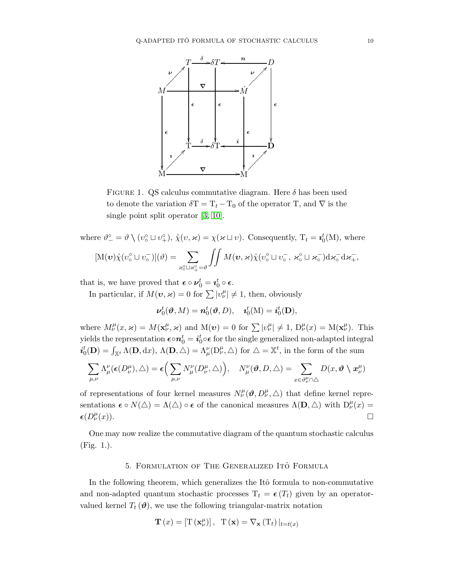

FIGURE 1. QS calculus commutative diagram. Here  $\delta$  has been used to denote the variation  $\delta T = T_t - T_0$  of the operator T, and  $\nabla$  is the single point split operator [\[3,](#page-18-4) [10\]](#page-19-17).

where  $\vartheta_-^{\circ} = \vartheta \setminus (v_{\circ}^{\circ} \sqcup v_{+}^{\circ}), \mathring{\chi}(v, \varkappa) = \chi(\varkappa \sqcup v)$ . Consequently,  $T_t = \iota_0^t(M)$ , where  $[M(\boldsymbol{v}) \hat{\chi} (v_{\circ}^{\circ} \sqcup v_{\circ}^{-})](\vartheta) = \sum$  $\varkappa_{\circ}^{\circ} \overline{\sqcup \varkappa_{+}^{\circ}} = \vartheta$  $\iint M(\boldsymbol{v},\boldsymbol{\varkappa})\mathring{\chi}(v_{\circ}^{\circ} \sqcup v_{\circ}^-, \boldsymbol{\varkappa}_{\circ}^{\circ} \sqcup \boldsymbol{\varkappa}_{\circ}^-)d\boldsymbol{\varkappa}_{\circ}^-d\boldsymbol{\varkappa}_{+}^-$ 

that is, we have proved that  $\boldsymbol{\epsilon} \circ \boldsymbol{\nu}_0^t = \boldsymbol{\imath}_0^t \circ \boldsymbol{\epsilon}$ .

In particular, if  $M(v, \varkappa) = 0$  for  $\sum |v_{\nu}^{\mu}| \neq 1$ , then, obviously

$$
\boldsymbol{\nu}_0^t(\boldsymbol{\vartheta},M)=\boldsymbol{n}_0^t(\boldsymbol{\vartheta},D),\quad \boldsymbol{\imath}_0^t(\mathrm{M})=\boldsymbol{i}_0^t(\mathbf{D}),
$$

where  $M^{\mu}_{\nu}(x,\varkappa) = M(\mathbf{x}^{\mu}_{\nu},\varkappa)$  and  $M(\boldsymbol{\nu}) = 0$  for  $\sum |\nu^{\mu}_{\nu}| \neq 1$ ,  $D^{\mu}_{\nu}(x) = M(\mathbf{x}^{\mu}_{\nu})$ . This yields the representation  $\bm{\epsilon} \circ \bm{n}_0^t = \bm{i}_0^t \circ \bm{\epsilon}$  for the single generalized non-adapted integral  $i_0^t(D) = \int_{\mathbb{X}^t} \Lambda(D, dx), \Lambda(D, \triangle) = \Lambda^{\nu}_{\mu}(D^{\mu}_{\nu}, \triangle)$  for  $\triangle = \mathbb{X}^t$ , in the form of the sum

$$
\sum_{\mu,\nu}\Lambda_{\mu}^{\nu}(\epsilon(D_{\nu}^{\mu}),\triangle)=\epsilon\Big(\sum_{\mu,\nu}N_{\mu}^{\nu}(D_{\nu}^{\mu},\triangle)\Big),\quad N_{\mu}^{\nu}(\vartheta,D,\triangle)=\sum_{x\in\vartheta_{\nu}^{\mu}\cap\triangle}D(x,\vartheta\setminus x_{\nu}^{\mu})
$$

of representations of four kernel measures  $N^{\mu}_{\nu}(\boldsymbol{\vartheta},D^{\mu}_{\nu},\triangle)$  that define kernel representations  $\epsilon \circ N(\triangle) = \Lambda(\triangle) \circ \epsilon$  of the canonical measures  $\Lambda(\mathbf{D}, \triangle)$  with  $D_{\nu}^{\mu}(x) =$  $\epsilon (D_{\nu }^{\mu }% )^{2}$  $\mathcal{L}(\mathcal{L})$ .

<span id="page-9-0"></span>One may now realize the commutative diagram of the quantum stochastic calculus (Fig. 1.).

## 5. FORMULATION OF THE GENERALIZED ITO FORMULA

In the following theorem, which generalizes the Itô formula to non-commutative and non-adapted quantum stochastic processes  $T_t = \epsilon(T_t)$  given by an operatorvalued kernel  $T_t(\boldsymbol{\theta})$ , we use the following triangular-matrix notation

$$
\mathbf{T}\left(x\right) = \left[\mathrm{T}\left(\mathbf{x}_{\nu}^{\mu}\right)\right], \ \ \mathrm{T}\left(\mathbf{x}\right) = \nabla_{\mathbf{x}}\left(\mathrm{T}_{t}\right)|_{t=t(x)}
$$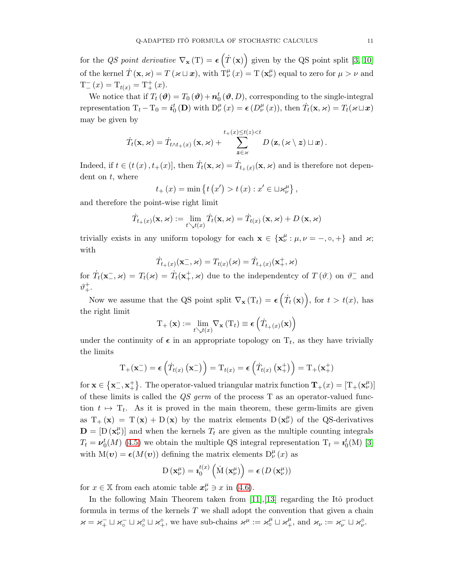for the QS point derivative  $\nabla_{\mathbf{x}}(T) = \epsilon(T(\mathbf{x}))$  given by the QS point split [\[3,](#page-18-4) [10\]](#page-19-17) of the kernel  $\dot{T}(\mathbf{x}, \varkappa) = T(\varkappa \sqcup \mathbf{x})$ , with  $T^{\mu}_{\nu}(x) = T(\mathbf{x}^{\mu}_{\nu})$  equal to zero for  $\mu > \nu$  and  $T_{-}^{-}(x) = T_{t(x)} = T_{+}^{+}(x).$ 

We notice that if  $T_t(\boldsymbol{\vartheta}) = T_0(\boldsymbol{\vartheta}) + \boldsymbol{n}_0^t(\boldsymbol{\vartheta}, D)$ , corresponding to the single-integral representation  $T_t - T_0 = i_0^t (\mathbf{D})$  with  $D_{\nu}^{\mu}(x) = \epsilon (D_{\nu}^{\mu}(x))$ , then  $\dot{T}_t(\mathbf{x}, \varkappa) = T_t(\varkappa \sqcup x)$ may be given by

$$
\dot{T}_t(\mathbf{x}, \varkappa) = \dot{T}_{t \wedge t_+(x)}(\mathbf{x}, \varkappa) + \sum_{\mathbf{z} \in \varkappa}^{t_+(x) \leq t(z) < t} D(\mathbf{z}, (\varkappa \setminus \mathbf{z}) \sqcup \mathbf{x}).
$$

Indeed, if  $t \in (t(x), t_{+}(x)]$ , then  $\dot{T}_t(\mathbf{x}, \varkappa) = \dot{T}_{t_{+}(x)}(\mathbf{x}, \varkappa)$  and is therefore not dependent on  $t$ , where

$$
t_{+}(x) = \min \{ t (x') > t (x) : x' \in \sqcup \varkappa_{\nu}^{\mu} \},
$$

and therefore the point-wise right limit

$$
\dot{T}_{t_{+}(x)}(\mathbf{x}, \varkappa) := \lim_{t \searrow t(x)} \dot{T}_{t}(\mathbf{x}, \varkappa) = \dot{T}_{t(x)}(\mathbf{x}, \varkappa) + D(\mathbf{x}, \varkappa)
$$

trivially exists in any uniform topology for each  $\mathbf{x} \in {\mathbf{x}_{\nu}^{\mu} : \mu, \nu = -, \circ, +}$  and  $\varkappa$ ; with

$$
\dot{T}_{t_+(x)}(\mathbf{x}_-^-, \varkappa) = T_{t(x)}(\varkappa) = \dot{T}_{t_+(x)}(\mathbf{x}_+^+, \varkappa)
$$

for  $\dot{T}_t(\mathbf{x}^-,\varkappa) = T_t(\varkappa) = \dot{T}_t(\mathbf{x}^+_{+},\varkappa)$  due to the independentcy of  $T(\vartheta)$  on  $\vartheta^-$  and  $\vartheta_+^+$ .

Now we assume that the QS point split  $\nabla_{\mathbf{x}}(T_t) = \epsilon(\dot{T}_t(\mathbf{x}))$ , for  $t > t(x)$ , has the right limit

$$
\mathrm{T}_{+}\left(\mathbf{x}\right):=\lim_{t\searrow t(x)}\nabla_{\mathbf{x}}\left(\mathrm{T}_{t}\right)\equiv\boldsymbol{\epsilon}\left(\dot{T}_{t_{+}\left(x\right)}(\mathbf{x})\right)
$$

under the continuity of  $\epsilon$  in an appropriate topology on  $T_t$ , as they have trivially the limits

$$
\mathrm{T}_{+}(\mathbf{x}_{-}^{-})=\boldsymbol{\epsilon}\left(\dot{T}_{t(x)}\left(\mathbf{x}_{-}^{-}\right)\right)=\mathrm{T}_{t(x)}=\boldsymbol{\epsilon}\left(\dot{T}_{t(x)}\left(\mathbf{x}_{+}^{+}\right)\right)=\mathrm{T}_{+}(\mathbf{x}_{+}^{+})
$$

for  $\mathbf{x} \in \{\mathbf{x}_-^-, \mathbf{x}_+^+\}$ . The operator-valued triangular matrix function  $\mathbf{T}_+(x) = [T_+(\mathbf{x}_\nu^\mu)]$ of these limits is called the  $QS$  germ of the process T as an operator-valued function  $t \mapsto T_t$ . As it is proved in the main theorem, these germ-limits are given as  $T_+ (x) = T (x) + D (x)$  by the matrix elements  $D (x^{\mu}_{\nu})$  of the QS-derivatives  $\mathbf{D} = [\mathbf{D}(\mathbf{x}_{\nu}^{\mu})]$  and when the kernels  $T_t$  are given as the multiple counting integrals  $T_t = \nu_0^t(M)$  [\(4.5\)](#page-7-1) we obtain the multiple QS integral representation  $T_t = i_0^t(M)$  [\[3\]](#page-18-4) with  $M(v) = \epsilon(M(v))$  defining the matrix elements  $D^{\mu}_{\nu}(x)$  as

$$
\mathrm{D}\left(\mathbf{x}_{\nu}^{\mu}\right)=\mathbf{z}_{0}^{t\left(x\right)}\left(\mathrm{\dot{M}}\left(\mathbf{x}_{\nu}^{\mu}\right)\right)=\boldsymbol{\epsilon}\left(D\left(\mathbf{x}_{\nu}^{\mu}\right)\right)
$$

for  $x \in \mathbb{X}$  from each atomic table  $x^{\mu}_{\nu} \ni x$  in [\(4.6\)](#page-8-0).

In the following Main Theorem taken from  $[11],[13]$  $[11],[13]$  regarding the Itô product formula in terms of the kernels  $T$  we shall adopt the convention that given a chain  $\varkappa = \varkappa_+^-\sqcup \varkappa_0^-\sqcup \varkappa_+^0$ , we have sub-chains  $\varkappa^\mu := \varkappa_0^\mu \sqcup \varkappa_+^\mu$ , and  $\varkappa_\nu := \varkappa_\nu^-\sqcup \varkappa_\nu^0$ .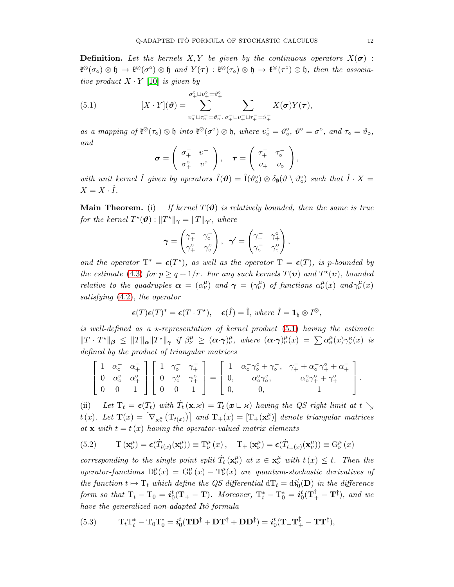**Definition.** Let the kernels X, Y be given by the continuous operators  $X(\sigma)$ :  $\mathfrak{k}^{\otimes}(\sigma_{\circ})\otimes\mathfrak{h}\to \mathfrak{k}^{\otimes}(\sigma^{\circ})\otimes\mathfrak{h}\text{ and }Y(\tau):\mathfrak{k}^{\otimes}(\tau_{\circ})\otimes\mathfrak{h}\to \mathfrak{k}^{\otimes}(\tau^{\circ})\otimes\mathfrak{h}\text{, then the associa$ tive product  $X \cdot Y$  [\[10\]](#page-19-17) is given by

(5.1) 
$$
[X \cdot Y](\boldsymbol{\vartheta}) = \sum_{v_0^- \sqcup \tau_0^- = \vartheta_0^-}^{ \sigma_+^{\circ} \sqcup v_+^{\circ} = \vartheta_+^{\circ} } \sum_{\sigma_+^{\prime} \sqcup v_+^- \sqcup \tau_+^- = \vartheta_+^-} X(\boldsymbol{\sigma}) Y(\boldsymbol{\tau}),
$$

as a mapping of  $\mathfrak{k}^{\otimes}(\tau_{\circ}) \otimes \mathfrak{h}$  into  $\mathfrak{k}^{\otimes}(\sigma^{\circ}) \otimes \mathfrak{h}$ , where  $v_{\circ}^{\circ} = \vartheta_{\circ}^{\circ}$ ,  $\vartheta^{\circ} = \sigma^{\circ}$ , and  $\tau_{\circ} = \vartheta_{\circ}$ , and

<span id="page-11-0"></span>
$$
\boldsymbol{\sigma} = \left( \begin{array}{cc} \sigma_{+}^{-} & v^{-} \\ \sigma_{+}^{\circ} & v^{\circ} \end{array} \right), \quad \boldsymbol{\tau} = \left( \begin{array}{cc} \tau_{+}^{-} & \tau_{\circ}^{-} \\ v_{+} & v_{\circ} \end{array} \right),
$$

with unit kernel  $\hat{I}$  given by operators  $\hat{I}(\mathbf{\theta}) = \hat{I}(\vartheta_{\circ}^{\circ}) \otimes \delta_{\emptyset}(\vartheta \setminus \vartheta_{\circ}^{\circ})$  such that  $\hat{I} \cdot X =$  $X=X\cdot\hat{I}.$ 

**Main Theorem.** (i) If kernel  $T(\theta)$  is relatively bounded, then the same is true for the kernel  $T^{\star}(\boldsymbol{\vartheta})$  :  $||T^{\star}||_{\boldsymbol{\gamma}} = ||T||_{\boldsymbol{\gamma}'},$  where

$$
\boldsymbol{\gamma} = \begin{pmatrix} \gamma_+^- & \gamma_0^- \\ \gamma_+^\circ & \gamma_0^\circ \end{pmatrix}, \ \ \boldsymbol{\gamma}' = \begin{pmatrix} \gamma_+^- & \gamma_+^\circ \\ \gamma_0^- & \gamma_0^\circ \end{pmatrix},
$$

and the operator  $T^* = \epsilon(T^*)$ , as well as the operator  $T = \epsilon(T)$ , is p-bounded by the estimate [\(4.3\)](#page-7-2) for  $p \ge q + 1/r$ . For any such kernels  $T(\mathbf{v})$  and  $T^*(\mathbf{v})$ , bounded relative to the quadruples  $\alpha = (\alpha^{\mu}_{\nu})$  and  $\gamma = (\gamma^{\mu}_{\nu})$  of functions  $\alpha^{\mu}_{\nu}(x)$  and  $\gamma^{\mu}_{\nu}(x)$ satisfying [\(4.2\)](#page-7-0), the operator

$$
\boldsymbol{\epsilon}(T)\boldsymbol{\epsilon}(T)^* = \boldsymbol{\epsilon}(T\cdot T^*), \quad \boldsymbol{\epsilon}(\hat{I}) = \hat{I}, \text{ where } \hat{I} = \mathbf{1}_{\mathfrak{h}} \otimes I^{\otimes},
$$

is well-defined as a  $\star$ -representation of kernel product [\(5.1\)](#page-11-0) having the estimate  $||T \cdot T^*||_{\beta} \leq ||T||_{\alpha}||T^*||_{\gamma}$  if  $\beta^{\mu}_{\nu} \geq (\alpha \cdot \gamma)^{\mu}_{\nu}$ , where  $(\alpha \cdot \gamma)^{\mu}_{\nu}(x) = \sum \alpha^{\mu}_{\kappa}(x)\gamma^{\kappa}_{\nu}(x)$  is defined by the product of triangular matrices

$$
\left[\begin{array}{ccc} 1 & \alpha_{\circ}^{-} & \alpha_{+}^{-} \\ 0 & \alpha_{\circ}^{\circ} & \alpha_{+}^{\circ} \\ 0 & 0 & 1 \end{array}\right] \left[\begin{array}{ccc} 1 & \gamma_{\circ}^{-} & \gamma_{+}^{-} \\ 0 & \gamma_{\circ}^{\circ} & \gamma_{+}^{\circ} \\ 0 & 0 & 1 \end{array}\right] = \left[\begin{array}{ccc} 1 & \alpha_{\circ}^{-} \gamma_{\circ}^{\circ} + \gamma_{\circ}^{-} , & \gamma_{+}^{-} + \alpha_{\circ}^{-} \gamma_{+}^{\circ} + \alpha_{+}^{-} \\ 0 , & \alpha_{\circ}^{\circ} \gamma_{\circ}^{\circ} , & \alpha_{\circ}^{\circ} \gamma_{+}^{\circ} + \gamma_{+}^{\circ} \\ 0 , & 0 , & 1 \end{array}\right].
$$

(ii) Let  $T_t = \epsilon(T_t)$  with  $\dot{T}_t(\mathbf{x}, \mathbf{z}) = T_t(\mathbf{x} \sqcup \mathbf{z})$  having the QS right limit at  $t \searrow$ t(x). Let  $\mathbf{T}(x) = \begin{bmatrix} \nabla_{\mathbf{x}^{\mu}_{\nu}} (\mathbf{T}_{t(x)}) \end{bmatrix}$  and  $\mathbf{T}_{+}(x) = \begin{bmatrix} \mathbf{T}_{+}(\mathbf{x}^{\mu}_{\nu}) \end{bmatrix}$  denote triangular matrices at  $x$  with  $t = t(x)$  having the operator-valued matrix elements

<span id="page-11-1"></span>(5.2) 
$$
\mathcal{T}(\mathbf{x}_{\nu}^{\mu}) = \epsilon(\dot{T}_{t(x)}(\mathbf{x}_{\nu}^{\mu})) \equiv \mathcal{T}_{\nu}^{\mu}(x), \quad \mathcal{T}_{+}(\mathbf{x}_{\nu}^{\mu}) = \epsilon(\dot{T}_{t_{+}(x)}(\mathbf{x}_{\nu}^{\mu})) \equiv \mathcal{G}_{\nu}^{\mu}(x)
$$

corresponding to the single point split  $\dot{T}_t(\mathbf{x}_\nu^\mu)$  at  $x \in \mathbf{x}_\nu^\mu$  with  $t(x) \leq t$ . Then the operator-functions  $D^{\mu}_{\nu}(x) = G^{\mu}_{\nu}(x) - T^{\mu}_{\nu}(x)$  are quantum-stochastic derivatives of the function  $t \mapsto T_t$  which define the QS differential  $dT_t = d\vec{i}_0(\mathbf{D})$  in the difference form so that  $T_t - T_0 = \boldsymbol{i}_0^t(T_+ - T)$ . Moreover,  $T_t^* - T_0^* = \boldsymbol{i}_0^t(T_+^{\ddagger} - T^{\ddagger})$ , and we have the generalized non-adapted Itô formula

<span id="page-11-2"></span>(5.3) 
$$
\mathbf{T}_t \mathbf{T}_t^* - \mathbf{T}_0 \mathbf{T}_0^* = \mathbf{i}_0^t (\mathbf{T} \mathbf{D}^{\ddagger} + \mathbf{D} \mathbf{T}^{\ddagger} + \mathbf{D} \mathbf{D}^{\ddagger}) = \mathbf{i}_0^t (\mathbf{T}_+ \mathbf{T}_+^{\ddagger} - \mathbf{T} \mathbf{T}^{\ddagger}),
$$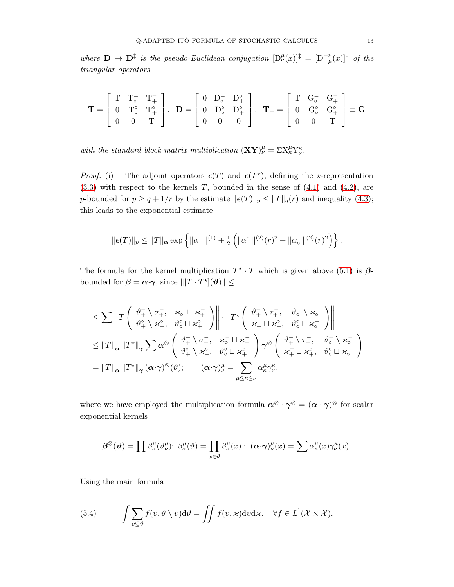where  $\mathbf{D} \mapsto \mathbf{D}^{\ddagger}$  is the pseudo-Euclidean conjugation  $[D^{\mu}_{\nu}(x)]^{\ddagger} = [D^{-\nu}_{-\mu}(x)]^*$  of the triangular operators

$$
\mathbf{T} = \left[ \begin{array}{ccc} T & T_{\circ}^- & T_{+}^- \\ 0 & T_{\circ}^{\circ} & T_{+}^{\circ} \\ 0 & 0 & T \end{array} \right], \ \ \mathbf{D} = \left[ \begin{array}{ccc} 0 & D_{\circ}^- & D_{+}^{\circ} \\ 0 & D_{\circ}^{\circ} & D_{+}^{\circ} \\ 0 & 0 & 0 \end{array} \right], \ \ \mathbf{T}_{+} = \left[ \begin{array}{ccc} T & G_{\circ}^- & G_{+}^- \\ 0 & G_{\circ}^{\circ} & G_{+}^{\circ} \\ 0 & 0 & T \end{array} \right] \equiv \mathbf{G}
$$

with the standard block-matrix multiplication  $(\mathbf{X}\mathbf{Y})^{\mu}_{\nu} = \Sigma X^{\mu}_{\kappa} Y^{\kappa}_{\nu}$ .

*Proof.* (i) The adjoint operators  $\epsilon(T)$  and  $\epsilon(T^*)$ , defining the \*-representation  $(3.3)$  with respect to the kernels T, bounded in the sense of  $(4.1)$  and  $(4.2)$ , are p-bounded for  $p \ge q + 1/r$  by the estimate  $\|\boldsymbol{\epsilon}(T)\|_p \le \|T\|_q(r)$  and inequality [\(4.3\)](#page-7-2); this leads to the exponential estimate

$$
\|\boldsymbol{\epsilon}(T)\|_{p} \leq \|T\|_{\boldsymbol{\alpha}} \exp\left\{\|\alpha_{+}^{-}\|^{(1)} + \frac{1}{2}\left(\|\alpha_{+}^{\circ}\|^{(2)}(r)^{2} + \|\alpha_{\circ}^{-}\|^{(2)}(r)^{2}\right)\right\}.
$$

The formula for the kernel multiplication  $T^* \cdot T$  which is given above [\(5.1\)](#page-11-0) is  $\beta$ bounded for  $\beta = \alpha \cdot \gamma$ , since  $\| [T \cdot T^*](\theta) \| \leq$ 

$$
\leq \sum \left\| T \begin{pmatrix} \vartheta_{+}^{-} \setminus \sigma_{+}^{-} & \varkappa_{\circ}^{-} \sqcup \varkappa_{+}^{-} \\ \vartheta_{+}^{\circ} \setminus \varkappa_{+}^{\circ} & \vartheta_{\circ}^{\circ} \sqcup \varkappa_{+}^{\circ} \end{pmatrix} \right\| \cdot \left\| T^{\star} \begin{pmatrix} \vartheta_{+}^{-} \setminus \tau_{+}^{-} & \vartheta_{\circ}^{-} \setminus \varkappa_{\circ}^{-} \\ \varkappa_{+}^{-} \sqcup \varkappa_{+}^{\circ} & \vartheta_{\circ}^{\circ} \sqcup \varkappa_{\circ}^{-} \end{pmatrix} \right\|
$$
  

$$
\leq \|T\|_{\alpha} \|T^{\star}\|_{\gamma} \sum \alpha^{\otimes} \begin{pmatrix} \vartheta_{+}^{-} \setminus \sigma_{+}^{-} & \varkappa_{\circ}^{-} \sqcup \varkappa_{+}^{-} \\ \vartheta_{+}^{\circ} \setminus \varkappa_{+}^{\circ} & \vartheta_{\circ}^{\circ} \sqcup \varkappa_{+}^{\circ} \end{pmatrix} \gamma^{\otimes} \begin{pmatrix} \vartheta_{+}^{-} \setminus \tau_{+}^{-} & \vartheta_{\circ}^{-} \setminus \varkappa_{\circ}^{-} \\ \varkappa_{+}^{-} \sqcup \varkappa_{+}^{\circ} & \vartheta_{\circ}^{-} \sqcup \varkappa_{-}^{-} \end{pmatrix}
$$
  

$$
= \|T\|_{\alpha} \|T^{\star}\|_{\gamma} (\alpha \cdot \gamma)^{\otimes} (\vartheta); \qquad (\alpha \cdot \gamma)_{\nu}^{\mu} = \sum_{\mu \leq \kappa \leq \nu} \alpha_{\kappa}^{\mu} \gamma_{\nu}^{\kappa},
$$

where we have employed the multiplication formula  $\alpha^{\otimes} \cdot \gamma^{\otimes} = (\alpha \cdot \gamma)^{\otimes}$  for scalar exponential kernels

$$
\beta^{\otimes}(\boldsymbol{\vartheta}) = \prod \beta^{\mu}_{\nu}(\vartheta^{\mu}_{\nu}); \ \beta^{\mu}_{\nu}(\vartheta) = \prod_{x \in \vartheta} \beta^{\mu}_{\nu}(x) : \ (\boldsymbol{\alpha} \cdot \boldsymbol{\gamma})^{\mu}_{\nu}(x) = \sum \alpha^{\mu}_{\kappa}(x) \gamma^{\kappa}_{\nu}(x).
$$

Using the main formula

(5.4) 
$$
\int \sum_{v \subseteq \vartheta} f(v, \vartheta \setminus v) d\vartheta = \iint f(v, \varkappa) d\nu d\varkappa, \quad \forall f \in L^1(\mathcal{X} \times \mathcal{X}),
$$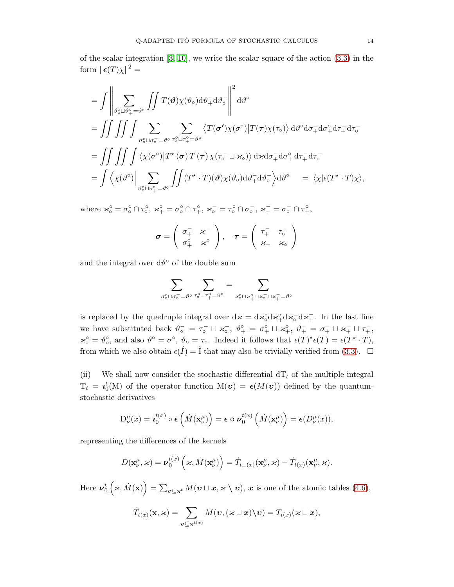of the scalar integration  $[3, 10]$  $[3, 10]$ , we write the scalar square of the action  $(3.3)$  in the form  $\|\boldsymbol{\epsilon}(T)\chi\|^2 =$ 

$$
= \int \left\| \sum_{\vartheta_{\circ} \in \mathbb{D}^{\vartheta_{+}^{2}} = \vartheta^{\circ}} \int \int T(\vartheta) \chi(\vartheta_{\circ}) d\vartheta_{+}^{-} d\vartheta_{\circ}^{-} \right\|^{2} d\vartheta^{\circ}
$$
  
\n
$$
= \int \int \int \int \int \sum_{\sigma_{\circ} \in \mathbb{D}^{\sigma_{-}^{-}} = \vartheta^{\circ}} \sum_{\tau_{\circ} \in \mathbb{D}^{\sigma_{+}^{-}} = \vartheta^{\circ}} \langle T(\sigma') \chi(\sigma^{\circ}) | T(\tau) \chi(\tau_{\circ}) \rangle d\vartheta^{\circ} d\sigma_{+}^{-} d\sigma_{+}^{\circ} d\tau_{+}^{-} d\tau_{\circ}^{-}
$$
  
\n
$$
= \int \int \int \int \int \langle \chi(\sigma^{\circ}) | T^{\star}(\sigma) T(\tau) \chi(\tau_{\circ}^{-} \sqcup \varkappa_{\circ}) \rangle d\kappa d\sigma_{+}^{-} d\sigma_{+}^{\circ} d\tau_{+}^{-} d\tau_{\circ}^{-}
$$
  
\n
$$
= \int \langle \chi(\vartheta^{\circ}) \Big| \sum_{\vartheta_{\circ} \in \mathbb{D}^{\vartheta_{+}^{2}} = \vartheta^{\circ}} \iint (T^{\star} \cdot T)(\vartheta) \chi(\vartheta_{\circ}) d\vartheta_{+}^{-} d\vartheta_{\circ}^{-} d\vartheta^{\circ} = \langle \chi | \epsilon(T^{\star} \cdot T) \chi \rangle,
$$

where  $\varkappa_0^{\circ} = \sigma_0^{\circ} \cap \tau_0^{\circ}$ ,  $\varkappa_+^{\circ} = \sigma_0^{\circ} \cap \tau_+^{\circ}$ ,  $\varkappa_0^- = \tau_0^{\circ} \cap \sigma_0^-$ ,  $\varkappa_+^{\circ} = \sigma_0^- \cap \tau_+^{\circ}$ ,

$$
\boldsymbol{\sigma} = \left( \begin{array}{cc} \sigma^-_+ & \varkappa^- \\ \sigma^{\circ}_+ & \varkappa^{\circ} \end{array} \right), \quad \boldsymbol{\tau} = \left( \begin{array}{cc} \tau^-_+ & \tau^-_0 \\ \varkappa_+ & \varkappa_{\circ} \end{array} \right)
$$

and the integral over  $d\vartheta^{\circ}$  of the double sum

$$
\sum_{\sigma_0^o\sqcup\sigma_o^-=\vartheta^o}\sum_{\tau_0^o\sqcup\tau_+^o=\vartheta^o}=\sum_{\varkappa_0^o\sqcup\varkappa_+^o\sqcup\varkappa_0^-\sqcup\varkappa_+^-=\vartheta^o}
$$

is replaced by the quadruple integral over  $d\kappa = d\kappa_0^{\circ} d\kappa_+^{\circ} d\kappa_+^{\circ} d\kappa_+^{\circ}$ . In the last line we have substituted back  $\vartheta_{\circ}^{-} = \tau_{\circ}^{-} \sqcup \varkappa_{\circ}^{-}$ ,  $\vartheta_{+}^{\circ} = \sigma_{+}^{\circ} \sqcup \varkappa_{+}^{\circ}$ ,  $\vartheta_{+}^{-} = \sigma_{+}^{-} \sqcup \varkappa_{+}^{-} \sqcup \tau_{+}^{-}$ ,  $\varkappa_{\circ}^{\circ} = \vartheta_{\circ}^{\circ}$ , and also  $\vartheta^{\circ} = \sigma^{\circ}$ ,  $\vartheta_{\circ} = \tau_{\circ}$ . Indeed it follows that  $\epsilon(T)^{*} \epsilon(T) = \epsilon(T^{*} \cdot T)$ , from which we also obtain  $\epsilon(\hat{I}) = \hat{I}$  that may also be trivially verified from [\(3.3\)](#page-5-1).  $\Box$ 

(ii) We shall now consider the stochastic differential  $dT_t$  of the multiple integral  $T_t = \iota_0^t(M)$  of the operator function  $M(v) = \epsilon(M(v))$  defined by the quantumstochastic derivatives

$$
D^{\mu}_{\nu}(x) = \mathbf{z}_0^{t(x)} \circ \boldsymbol{\epsilon} \left( \dot{M}(\mathbf{x}_{\nu}^{\mu}) \right) = \boldsymbol{\epsilon} \circ \boldsymbol{\nu}_0^{t(x)} \left( \dot{M}(\mathbf{x}_{\nu}^{\mu}) \right) = \boldsymbol{\epsilon} (D^{\mu}_{\nu}(x)),
$$

representing the differences of the kernels

$$
D(\mathbf{x}_{\nu}^{\mu}, \varkappa) = \boldsymbol{\nu}_0^{t(x)}(\varkappa, \dot{M}(\mathbf{x}_{\nu}^{\mu})) = \dot{T}_{t(x)}(\mathbf{x}_{\nu}^{\mu}, \varkappa) - \dot{T}_{t(x)}(\mathbf{x}_{\nu}^{\mu}, \varkappa).
$$

Here  $\boldsymbol{\nu}_0^t$  $(\varkappa, \dot{M}(\mathbf{x})) = \sum_{\mathbf{v} \subseteq \varkappa^t} M(\mathbf{v} \sqcup \mathbf{x}, \varkappa \setminus \mathbf{v}), \mathbf{x}$  is one of the atomic tables [\(4.6\)](#page-8-0),

$$
\dot{T}_{t(x)}(\mathbf{x},\varkappa)=\sum_{\mathbf{v}\subseteq\mathbf{x}^{t(x)}}M(\mathbf{v},(\varkappa\sqcup\mathbf{x})\backslash\mathbf{v})=T_{t(x)}(\varkappa\sqcup\mathbf{x}),
$$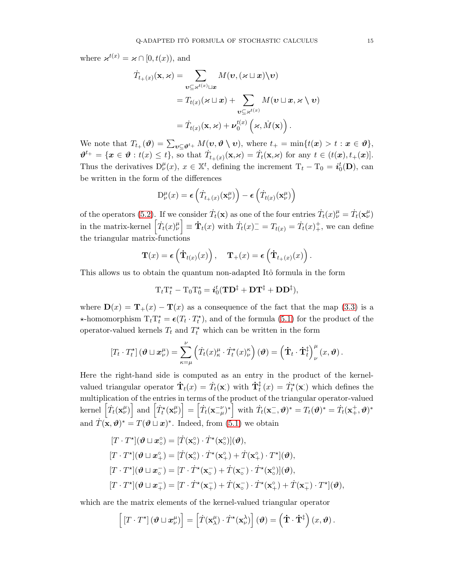where  $\varkappa^{t(x)} = \varkappa \cap [0, t(x))$ , and

$$
\dot{T}_{t_{+}(x)}(\mathbf{x}, \varkappa) = \sum_{\mathbf{v} \subseteq \varkappa^{t(x)} \sqcup \mathbf{x}} M(\mathbf{v}, (\varkappa \sqcup \mathbf{x}) \setminus \mathbf{v})
$$
\n
$$
= T_{t(x)}(\varkappa \sqcup \mathbf{x}) + \sum_{\mathbf{v} \subseteq \varkappa^{t(x)}} M(\mathbf{v} \sqcup \mathbf{x}, \varkappa \setminus \mathbf{v})
$$
\n
$$
= \dot{T}_{t(x)}(\mathbf{x}, \varkappa) + \nu_{0}^{t(x)}(\varkappa, \dot{M}(\mathbf{x})).
$$

We note that  $T_{t+}(\boldsymbol{\vartheta}) = \sum_{\boldsymbol{v} \subseteq \boldsymbol{\vartheta}^{t+}} M(\boldsymbol{v}, \boldsymbol{\vartheta} \setminus \boldsymbol{v}),$  where  $t_{+} = \min\{t(\boldsymbol{x}) > t : \boldsymbol{x} \in \boldsymbol{\vartheta}\},$  $\boldsymbol{\vartheta}^{t+} = \{\boldsymbol{x} \in \boldsymbol{\vartheta} : t(x) \leq t\},\$  so that  $\dot{T}_{t+(x)}(\mathbf{x}, \mathbf{x}) = \dot{T}_t(\mathbf{x}, \mathbf{x})$  for any  $t \in (t(\boldsymbol{x}), t+(\boldsymbol{x})].$ Thus the derivatives  $D_{\nu}^{\mu}(x), x \in \mathbb{X}^{t}$ , defining the increment  $T_{t} - T_{0} = i_{0}^{t}(\mathbf{D})$ , can be written in the form of the differences

$$
\mathbf{D}_{\nu}^{\mu}(x) = \epsilon \left( \dot{T}_{t_{+}(x)}(\mathbf{x}_{\nu}^{\mu}) \right) - \epsilon \left( \dot{T}_{t(x)}(\mathbf{x}_{\nu}^{\mu}) \right)
$$

of the operators [\(5.2\)](#page-11-1). If we consider  $\dot{T}_t(\mathbf{x})$  as one of the four entries  $\dot{T}_t(x)^\mu_\nu = \dot{T}_t(\mathbf{x}^\mu_\nu)$ in the matrix-kernel  $\left[\dot{T}_t(x)^{\mu}_{\nu}\right] \equiv \dot{T}_t(x)$  with  $\dot{T}_t(x)^{-}_{\nu} = T_{t(x)} = \dot{T}_t(x)^{+}_{\nu}$ , we can define the triangular matrix-functions

$$
\mathbf{T}(x) = \boldsymbol{\epsilon} \left( \dot{\mathbf{T}}_{t(x)}(x) \right), \quad \mathbf{T}_+(x) = \boldsymbol{\epsilon} \left( \dot{\mathbf{T}}_{t_+(x)}(x) \right)
$$

.

This allows us to obtain the quantum non-adapted Itô formula in the form

$$
\mathrm{T}_t\mathrm{T}_t^*-\mathrm{T}_0\mathrm{T}_0^*=i_0^t(\mathbf{T}\mathbf{D}^\ddagger+\mathbf{D}\mathbf{T}^\ddagger+\mathbf{D}\mathbf{D}^\ddagger),
$$

where  $\mathbf{D}(x) = \mathbf{T}_{+}(x) - \mathbf{T}(x)$  as a consequence of the fact that the map [\(3.3\)](#page-5-1) is a  $\star$ -homomorphism  $T_t T_t^* = \epsilon(T_t \cdot T_t^*)$ , and of the formula [\(5.1\)](#page-11-0) for the product of the operator-valued kernels  $T_t$  and  $T_t^*$  which can be written in the form

$$
\left[T_t \cdot T_t^{\star}\right](\boldsymbol{\vartheta} \sqcup \boldsymbol{x}_{\nu}^{\mu}) = \sum_{\kappa=\mu}^{\nu} \left(\dot{T}_t(x)_{\kappa}^{\mu} \cdot \dot{T}_t^{\star}(x)_{\nu}^{\kappa}\right)(\boldsymbol{\vartheta}) = \left(\dot{\mathbf{T}}_t \cdot \dot{\mathbf{T}}_t^{\ddagger}\right)_{\nu}^{\mu}(x, \boldsymbol{\vartheta}).
$$

Here the right-hand side is computed as an entry in the product of the kernelvalued triangular operator  $\dot{\mathbf{T}}_t(x) = \dot{T}_t(\mathbf{x})$  with  $\dot{\mathbf{T}}_t^{\ddagger}$  $\dot{\bar{t}}(x) = \dot{T}_t^{\star}(\mathbf{x})$  which defines the multiplication of the entries in terms of the product of the triangular operator-valued  $\text{kernel}\left[\dot{T}_t(\mathbf{x}_{\nu}^{\mu})\right] \text{ and } \left[\dot{T}_t^{\star}(\mathbf{x}_{\nu}^{\mu})\right] = \left[\dot{T}_t(\mathbf{x}_{-\mu}^{-\nu})^*\right] \text{ with } \dot{T}_t(\mathbf{x}_{-}^{-}, \boldsymbol{\vartheta})^* = T_t(\boldsymbol{\vartheta})^* = \dot{T}_t(\mathbf{x}_{+}^{+}, \boldsymbol{\vartheta})^*$ and  $\dot{T}(\mathbf{x}, \theta)^* = T(\theta \sqcup \mathbf{x})^*$ . Indeed, from [\(5.1\)](#page-11-0) we obtain

$$
[T \cdot T^{\star}](\boldsymbol{\vartheta} \sqcup \boldsymbol{x}_{\circ}^{\circ}) = [\dot{T}(\mathbf{x}_{\circ}^{\circ}) \cdot \dot{T}^{\star}(\mathbf{x}_{\circ}^{\circ})](\boldsymbol{\vartheta}),
$$
  
\n
$$
[T \cdot T^{\star}](\boldsymbol{\vartheta} \sqcup \boldsymbol{x}_{+}^{\circ}) = [\dot{T}(\mathbf{x}_{\circ}^{\circ}) \cdot \dot{T}^{\star}(\mathbf{x}_{+}^{\circ}) + \dot{T}(\mathbf{x}_{+}^{\circ}) \cdot T^{\star}](\boldsymbol{\vartheta}),
$$
  
\n
$$
[T \cdot T^{\star}](\boldsymbol{\vartheta} \sqcup \boldsymbol{x}_{\circ}^{-}) = [T \cdot \dot{T}^{\star}(\mathbf{x}_{\circ}^{-}) + \dot{T}(\mathbf{x}_{\circ}^{-}) \cdot \dot{T}^{\star}(\mathbf{x}_{\circ}^{\circ})](\boldsymbol{\vartheta}),
$$
  
\n
$$
[T \cdot T^{\star}](\boldsymbol{\vartheta} \sqcup \boldsymbol{x}_{+}^{-}) = [T \cdot \dot{T}^{\star}(\mathbf{x}_{+}^{-}) + \dot{T}(\mathbf{x}_{\circ}^{-}) \cdot \dot{T}^{\star}(\mathbf{x}_{+}^{\circ}) + \dot{T}(\mathbf{x}_{+}^{-}) \cdot T^{\star}](\boldsymbol{\vartheta}),
$$

which are the matrix elements of the kernel-valued triangular operator

$$
\left[ \left[T \cdot T^{\star}\right] \left( \boldsymbol{\vartheta} \sqcup \boldsymbol{x}_{\nu}^{\mu} \right) \right] = \left[ \dot{T}(\mathbf{x}_{\lambda}^{\mu}) \cdot \dot{T}^{\star}(\mathbf{x}_{\nu}^{\lambda}) \right] \left( \boldsymbol{\vartheta} \right) = \left(\dot{\mathbf{T}} \cdot \dot{\mathbf{T}}^{\ddagger} \right) \left( x, \boldsymbol{\vartheta} \right).
$$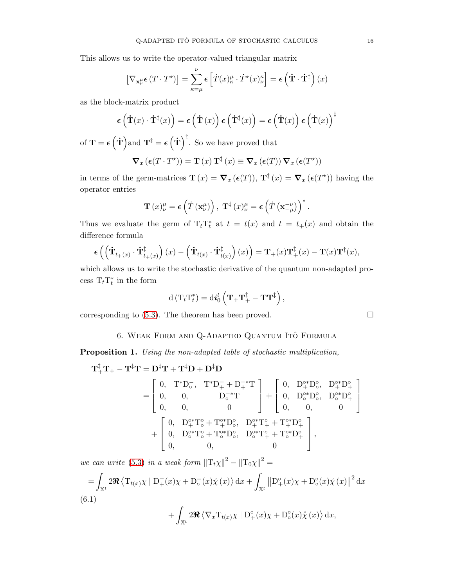This allows us to write the operator-valued triangular matrix

$$
\left[\nabla_{\mathbf{x}_{\nu}^{\mu}}\boldsymbol{\epsilon}\left(T\cdot T^{\star}\right)\right]=\sum_{\kappa=\mu}^{\nu}\boldsymbol{\epsilon}\left[\dot{T}(x)_{\kappa}^{\mu}\cdot\dot{T}^{\star}(x)_{\nu}^{\kappa}\right]=\boldsymbol{\epsilon}\left(\dot{\mathbf{T}}\cdot\dot{\mathbf{T}}^{\ddagger}\right)(x)
$$

as the block-matrix product

$$
\epsilon\left(\dot{\mathbf{T}}(x)\cdot\dot{\mathbf{T}}^{\ddagger}(x)\right) = \epsilon\left(\dot{\mathbf{T}}(x)\right)\epsilon\left(\dot{\mathbf{T}}^{\ddagger}(x)\right) = \epsilon\left(\dot{\mathbf{T}}(x)\right)\epsilon\left(\dot{\mathbf{T}}(x)\right)^{\ddagger}
$$

of  $\mathbf{T} = \boldsymbol{\epsilon} (\dot{\mathbf{T}})$  and  $\mathbf{T}^{\ddagger} = \boldsymbol{\epsilon} (\dot{\mathbf{T}})^{\ddagger}$ . So we have proved that  $\nabla_x \left( \boldsymbol{\epsilon}(T \cdot T^\star) \right) = \mathbf{T}\left(x\right) \mathbf{T}^{\ddagger}\left(x\right) \equiv \boldsymbol{\nabla}_x \left( \boldsymbol{\epsilon}(T)\right) \boldsymbol{\nabla}_x \left( \boldsymbol{\epsilon}(T^\star) \right)$ 

in terms of the germ-matrices  $\mathbf{T}(x) = \nabla_x (\epsilon(T))$ ,  $\mathbf{T}^{\ddagger}(x) = \nabla_x (\epsilon(T^*))$  having the operator entries

$$
\mathbf{T}\left(x\right)_{\nu}^{\mu} = \boldsymbol{\epsilon}\left(\dot{T}\left(\mathbf{x}_{\nu}^{\mu}\right)\right), \ \mathbf{T}^{\ddagger}\left(x\right)_{\nu}^{\mu} = \boldsymbol{\epsilon}\left(\dot{T}\left(\mathbf{x}_{-\mu}^{-\nu}\right)\right)^{*}.
$$

Thus we evaluate the germ of  $T_t T_t^*$  at  $t = t(x)$  and  $t = t_+(x)$  and obtain the difference formula

$$
\boldsymbol{\epsilon}\left(\left(\dot{\mathbf{T}}_{t_{+}(x)}\cdot\dot{\mathbf{T}}_{t_{+}(x)}^{\ddagger}\right)(x)-\left(\dot{\mathbf{T}}_{t(x)}\cdot\dot{\mathbf{T}}_{t(x)}^{\ddagger}\right)(x)\right)=\mathbf{T}_{+}(x)\mathbf{T}_{+}^{\ddagger}(x)-\mathbf{T}(x)\mathbf{T}^{\ddagger}(x),
$$

which allows us to write the stochastic derivative of the quantum non-adapted process  $T_t T_t^*$  in the form

$$
\mathrm{d}\left(\mathrm{T}_{t}\mathrm{T}_{t}^{*}\right)=\mathrm{d}i_{0}^{t}\left(\mathbf{T}_{+}\mathbf{T}_{+}^{\ddagger}-\mathbf{T}\mathbf{T}^{\ddagger}\right),\,
$$

<span id="page-15-0"></span>corresponding to  $(5.3)$ . The theorem has been proved.

6. Weak Form and Q-Adapted Quantum Ito Formula ˆ

Proposition 1. Using the non-adapted table of stochastic multiplication,

$$
\mathbf{T}_{+}^{\ddagger}\mathbf{T}_{+} - \mathbf{T}^{\ddagger}\mathbf{T} = \mathbf{D}^{\ddagger}\mathbf{T} + \mathbf{T}^{\ddagger}\mathbf{D} + \mathbf{D}^{\ddagger}\mathbf{D}
$$
\n
$$
= \begin{bmatrix} 0, & T^{*}\mathbf{D}_{\circ}^{-}, & T^{*}\mathbf{D}_{+}^{-} + \mathbf{D}_{+}^{-*}\mathbf{T} \\ 0, & 0, & \mathbf{D}_{\circ}^{-*}\mathbf{T} \\ 0, & 0, & 0 \end{bmatrix} + \begin{bmatrix} 0, & \mathbf{D}_{\circ}^{0*}\mathbf{D}_{\circ}^{0}, & \mathbf{D}_{\circ}^{0*}\mathbf{D}_{+}^{0} \\ 0, & \mathbf{D}_{\circ}^{0*}\mathbf{D}_{\circ}^{0}, & \mathbf{D}_{\circ}^{0*}\mathbf{D}_{+}^{0} \\ 0, & 0, & 0 \end{bmatrix}
$$
\n
$$
+ \begin{bmatrix} 0, & \mathbf{D}_{+}^{0*}\mathbf{T}_{\circ}^{0} + \mathbf{T}_{+}^{0*}\mathbf{D}_{\circ}^{0}, & \mathbf{D}_{+}^{0*}\mathbf{T}_{+}^{0} + \mathbf{T}_{+}^{0*}\mathbf{D}_{+}^{0} \\ 0, & \mathbf{D}_{\circ}^{0*}\mathbf{T}_{\circ}^{0} + \mathbf{T}_{\circ}^{0*}\mathbf{D}_{\circ}^{0}, & \mathbf{D}_{\circ}^{0*}\mathbf{T}_{+}^{0} + \mathbf{T}_{\circ}^{0*}\mathbf{D}_{+}^{0} \\ 0, & 0, & 0 \end{bmatrix},
$$

we can write [\(5.3\)](#page-11-2) in a weak form  $||T_t \chi||^2 - ||T_0 \chi||^2 =$ 

<span id="page-15-1"></span>
$$
= \int_{\mathbb{X}^t} 2\Re \langle \mathrm{T}_{t(x)} \chi \mid \mathrm{D}_{+}^{-}(x) \chi + \mathrm{D}_{\circ}^{-}(x) \mathring{\chi}(x) \rangle \, \mathrm{d}x + \int_{\mathbb{X}^t} ||\mathrm{D}_{+}^{\circ}(x) \chi + \mathrm{D}_{\circ}^{\circ}(x) \mathring{\chi}(x)||^2 \, \mathrm{d}x
$$
\n(6.1)

$$
+ \int_{\mathbb{X}^t} 2 \Re \langle \nabla_x T_{t(x)} \chi \mid D_+^{\circ}(x) \chi + D_{{\circ}}^{\circ}(x) \dot{\chi}(x) \rangle \, \mathrm{d}x,
$$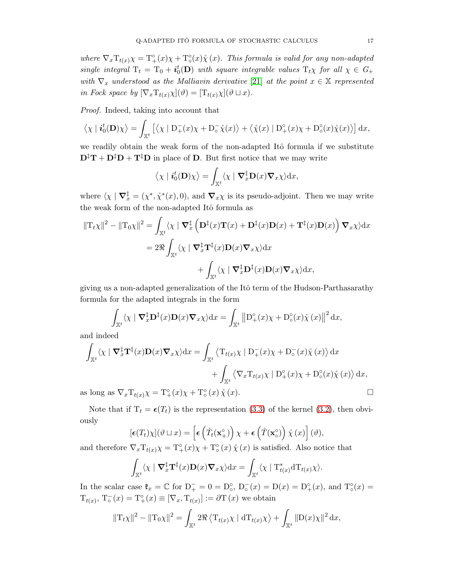where  $\nabla_x T_{t(x)} \chi = T^{\circ}_{+}(x) \chi + T^{\circ}_{\circ}(x) \chi(x)$ . This formula is valid for any non-adapted single integral  $T_t = T_0 + i_0^t(D)$  with square integrable values  $T_t \chi$  for all  $\chi \in G_+$ with  $\nabla_x$  understood as the Malliavin derivative [\[21\]](#page-19-18) at the point  $x \in \mathbb{X}$  represented in Fock space by  $[\nabla_x \mathrm{T}_{t(x)} \chi](\vartheta) = [\mathrm{T}_{t(x)} \chi](\vartheta \sqcup x).$ 

Proof. Indeed, taking into account that

$$
\langle \chi | \mathbf{i}_0^t(\mathbf{D}) \chi \rangle = \int_{\mathbb{X}^t} \left[ \langle \chi | D_+^-(x) \chi + D_0^- \mathring{\chi}(x) \rangle + \langle \mathring{\chi}(x) | D_+^{\circ}(x) \chi + D_0^{\circ}(x) \mathring{\chi}(x) \rangle \right] dx,
$$

we readily obtain the weak form of the non-adapted Itô formula if we substitute  $\mathbf{D}^{\ddagger} \mathbf{T} + \mathbf{D}^{\ddagger} \mathbf{D} + \mathbf{T}^{\ddagger} \mathbf{D}$  in place of **D**. But first notice that we may write

$$
\langle \chi | \mathbf{i}_0^t(\mathbf{D}) \chi \rangle = \int_{\mathbb{X}^t} \langle \chi | \mathbf{\nabla}_x^{\ddagger} \mathbf{D}(x) \mathbf{\nabla}_x \chi \rangle \mathrm{d}x,
$$

where  $\langle \chi | \nabla_x^{\dagger} = (\chi^*, \chi^*(x), 0),$  and  $\nabla_x \chi$  is its pseudo-adjoint. Then we may write the weak form of the non-adapted Itô formula as

$$
\|\mathbf{T}_{t}\chi\|^{2} - \|\mathbf{T}_{0}\chi\|^{2} = \int_{\mathbb{X}^{t}} \langle \chi \mid \mathbf{\nabla}_{x}^{\ddagger} \left( \mathbf{D}^{\ddagger}(x)\mathbf{T}(x) + \mathbf{D}^{\ddagger}(x)\mathbf{D}(x) + \mathbf{T}^{\ddagger}(x)\mathbf{D}(x) \right) \mathbf{\nabla}_{x}\chi \rangle \mathrm{d}x
$$

$$
= 2\Re \int_{\mathbb{X}^{t}} \langle \chi \mid \mathbf{\nabla}_{x}^{\ddagger}\mathbf{T}^{\ddagger}(x)\mathbf{D}(x)\mathbf{\nabla}_{x}\chi \rangle \mathrm{d}x + \int_{\mathbb{X}^{t}} \langle \chi \mid \mathbf{\nabla}_{x}^{\ddagger}\mathbf{D}^{\ddagger}(x)\mathbf{D}(x)\mathbf{\nabla}_{x}\chi \rangle \mathrm{d}x,
$$

giving us a non-adapted generalization of the Itô term of the Hudson-Parthasarathy formula for the adapted integrals in the form

$$
\int_{\mathbb{X}^t} \langle \chi \mid \nabla_x^{\ddagger} \mathbf{D}^{\ddagger}(x) \mathbf{D}(x) \nabla_x \chi \rangle \mathrm{d}x = \int_{\mathbb{X}^t} \left\| \mathbf{D}^{\circ}_{+}(x) \chi + \mathbf{D}^{\circ}_{\circ}(x) \mathring{\chi}(x) \right\|^2 \mathrm{d}x,
$$

and indeed

$$
\int_{\mathbb{X}^t} \langle \chi \mid \nabla_x^{\dagger} \mathbf{T}^{\dagger}(x) \mathbf{D}(x) \nabla_x \chi \rangle dx = \int_{\mathbb{X}^t} \langle \mathbf{T}_{t(x)} \chi \mid \mathbf{D}_+^-(x) \chi + \mathbf{D}_\circ^-(x) \chi(x) \rangle dx \n+ \int_{\mathbb{X}^t} \langle \nabla_x \mathbf{T}_{t(x)} \chi \mid \mathbf{D}_+^\circ(x) \chi + \mathbf{D}_\circ^{\circ}(x) \chi(x) \rangle dx,
$$

as long as  $\nabla_x \mathcal{T}_{t(x)} \chi = \mathcal{T}^{\circ}_{+}(x) \chi + \mathcal{T}^{\circ}_{\circ}(x) \mathcal{\hat{\chi}}(x)$ .

Note that if  $T_t = \epsilon(T_t)$  is the representation [\(3.3\)](#page-5-1) of the kernel [\(3.2\)](#page-4-1), then obviously

$$
[\boldsymbol{\epsilon}(T_t)\chi](\vartheta \sqcup x) = \left[\boldsymbol{\epsilon}\left(\dot{T}_t(\mathbf{x}_+^{\circ})\right)\chi + \boldsymbol{\epsilon}\left(\dot{T}(\mathbf{x}_\circ^{\circ})\right)\chi(x)\right](\vartheta),
$$

and therefore  $\nabla_x T_{t(x)} \chi = T^{\circ}_{+}(x) \chi + T^{\circ}_{\circ}(x) \chi(x)$  is satisfied. Also notice that

$$
\int_{\mathbb{X}^t} \langle \chi \mid \nabla_x^{\ddagger} \mathbf{T}^{\ddagger}(x) \mathbf{D}(x) \nabla_x \chi \rangle \mathrm{d}x = \int_{\mathbb{X}^t} \langle \chi \mid \mathrm{T}^*_{t(x)} \mathrm{d} \mathrm{T}_{t(x)} \chi \rangle.
$$

In the scalar case  $\mathfrak{k}_x = \mathbb{C}$  for  $D_+^- = 0 = D_0^{\circ}$ ,  $D_0^-(x) = D(x) = D_+^{\circ}(x)$ , and  $T_0^{\circ}(x) =$  $T_{t(x)}, T_{\circ}(x) = T_{+}^{\circ}(x) \equiv [\nabla_x, T_{t(x)}] := \partial T(x)$  we obtain

$$
||T_t\chi||^2 - ||T_0\chi||^2 = \int_{\mathbb{X}^t} 2\Re \langle T_{t(x)}\chi | dT_{t(x)}\chi \rangle + \int_{\mathbb{X}^t} ||D(x)\chi||^2 dx,
$$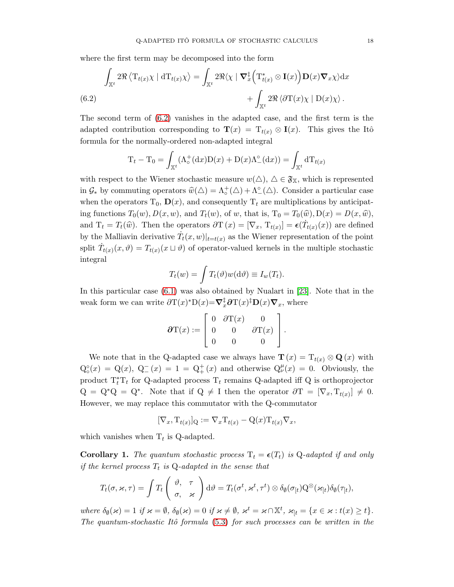where the first term may be decomposed into the form

<span id="page-17-0"></span>
$$
\int_{\mathbb{X}^t} 2\Re \langle \mathrm{T}_{t(x)} \chi | \mathrm{d}\mathrm{T}_{t(x)} \chi \rangle = \int_{\mathbb{X}^t} 2\Re \langle \chi | \nabla_x^{\ddagger} \Big( \mathrm{T}_{t(x)}^* \otimes \mathbf{I}(x) \Big) \mathbf{D}(x) \nabla_x \chi \rangle \mathrm{d}x + \int_{\mathbb{X}^t} 2\Re \langle \partial \mathrm{T}(x) \chi | \mathrm{D}(x) \chi \rangle.
$$
\n(6.2)

The second term of [\(6.2\)](#page-17-0) vanishes in the adapted case, and the first term is the adapted contribution corresponding to  $\mathbf{T}(x) = T_{t(x)} \otimes \mathbf{I}(x)$ . This gives the Itô formula for the normally-ordered non-adapted integral

$$
T_t - T_0 = \int_{\mathbb{X}^t} (\Lambda_o^+(\mathrm{d}x)D(x) + D(x)\Lambda_o^{\circ}(\mathrm{d}x)) = \int_{\mathbb{X}^t} dT_{t(x)}
$$

with respect to the Wiener stochastic measure  $w(\triangle)$ ,  $\triangle \in \mathfrak{F}_{\mathbb{X}}$ , which is represented in  $\mathcal{G}_*$  by commuting operators  $\widehat{w}(\Delta) = \Lambda_o^+(\Delta) + \Lambda_o^{\circ}(\Delta)$ . Consider a particular case when the operators  $T_0$ ,  $\mathbf{D}(x)$ , and consequently  $T_t$  are multiplications by anticipating functions  $T_0(w)$ ,  $D(x, w)$ , and  $T_t(w)$ , of w, that is,  $T_0 = T_0(\widehat{w})$ ,  $D(x) = D(x, \widehat{w})$ , and  $T_t = T_t(\widehat{w})$ . Then the operators  $\partial T(x) = [\nabla_x, T_{t(x)}] = \epsilon(T_{t(x)}(x))$  are defined by the Malliavin derivative  $\dot{T}_t(x,w)|_{t=t(x)}$  as the Wiener representation of the point split  $\dot{T}_{t(x)}(x,\vartheta) = T_{t(x)}(x \sqcup \vartheta)$  of operator-valued kernels in the multiple stochastic integral

$$
T_t(w) = \int T_t(\vartheta) w(\mathrm{d}\vartheta) \equiv I_w(T_t).
$$

In this particular case [\(6.1\)](#page-15-1) was also obtained by Nualart in [\[23\]](#page-19-11). Note that in the weak form we can write  $\partial T(x)^*D(x)=\nabla_x^{\ddagger}\partial T(x)^{\ddagger}D(x)\nabla_x$ , where

$$
\partial \mathcal{T}(x) := \left[ \begin{array}{ccc} 0 & \partial \mathcal{T}(x) & 0 \\ 0 & 0 & \partial \mathcal{T}(x) \\ 0 & 0 & 0 \end{array} \right].
$$

We note that in the Q-adapted case we always have  $\mathbf{T}(x) = T_{t(x)} \otimes \mathbf{Q}(x)$  with  $Q_{\circ}^{\circ}(x) = Q(x), Q_{-}^{-}(x) = 1 = Q_{+}^{+}(x)$  and otherwise  $Q_{\nu}^{\mu}(x) = 0$ . Obviously, the product  $T_t^*T_t$  for Q-adapted process  $T_t$  remains Q-adapted iff Q is orthoprojector  $Q = Q^*Q = Q^*$ . Note that if  $Q \neq I$  then the operator  $\partial T = [\nabla_x, T_{t(x)}] \neq 0$ . However, we may replace this commutator with the Q-commutator

$$
[\nabla_x, \mathrm{T}_{t(x)}]_{\mathrm{Q}} := \nabla_x \mathrm{T}_{t(x)} - \mathrm{Q}(x) \mathrm{T}_{t(x)} \nabla_x,
$$

which vanishes when  $T_t$  is Q-adapted.

**Corollary 1.** The quantum stochastic process  $T_t = \epsilon(T_t)$  is Q-adapted if and only if the kernel process  $T_t$  is Q-adapted in the sense that

$$
T_t(\sigma, \varkappa, \tau) = \int T_t \begin{pmatrix} \vartheta, & \tau \\ \sigma, & \varkappa \end{pmatrix} d\vartheta = T_t(\sigma^t, \varkappa^t, \tau^t) \otimes \delta_{\varnothing}(\sigma_{[t)} Q^{\otimes}(\varkappa_{[t]}) \delta_{\varnothing}(\tau_{[t}),
$$

where  $\delta_{\emptyset}(\varkappa) = 1$  if  $\varkappa = \emptyset$ ,  $\delta_{\emptyset}(\varkappa) = 0$  if  $\varkappa \neq \emptyset$ ,  $\varkappa^t = \varkappa \cap \mathbb{X}^t$ ,  $\varkappa_{\mathfrak{l}t} = \{x \in \varkappa : t(x) \geq t\}$ . The quantum-stochastic Itô formula  $(5.3)$  for such processes can be written in the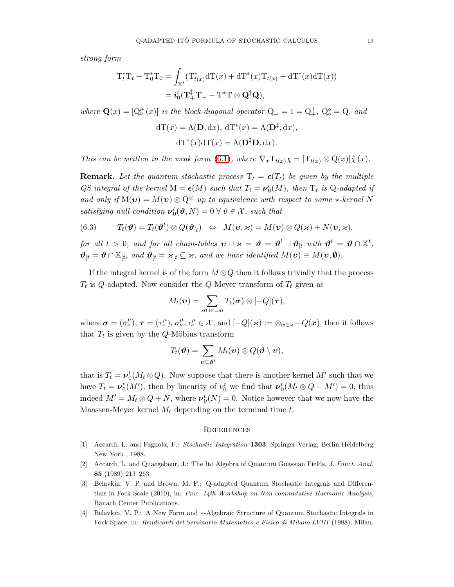strong form

$$
T_t^*T_t - T_0^*T_0 = \int_{\mathbb{X}^t} (T_{t(x)}^* dT(x) + dT^*(x)T_{t(x)} + dT^*(x)dT(x))
$$
  
=  $i_0^t(T_+^{\dagger}T_+ - T^*T \otimes \mathbf{Q}^{\dagger}\mathbf{Q}),$ 

where  $\mathbf{Q}(x) = [Q^{\mu}_{\nu}(x)]$  is the block-diagonal operator  $Q^{-} = 1 = Q^{+}_{+}$ ,  $Q^{\circ}_{0} = Q$ , and

$$
dT(x) = \Lambda(\mathbf{D}, dx), dT^*(x) = \Lambda(\mathbf{D}^{\ddagger}, dx),
$$

$$
dT^*(x)dT(x) = \Lambda(\mathbf{D}^{\ddagger}\mathbf{D}, dx).
$$

This can be written in the weak form [\(6.1\)](#page-15-1), where  $\nabla_x T_{t(x)} \chi = [T_{t(x)} \otimes Q(x)] \chi(x)$ .

**Remark.** Let the quantum stochastic process  $T_t = \epsilon(T_t)$  be given by the multiple QS integral of the kernel  $M = \epsilon(M)$  such that  $T_t = \nu_0^t(M)$ , then  $T_t$  is Q-adapted if and only if  $M(v) = M(v) \otimes Q^{\otimes}$  up to equivalence with respect to some  $\star$ -kernel N satisfying null condition  $\boldsymbol{\nu}_0^t(\boldsymbol{\vartheta},N) = 0 \ \forall \ \vartheta \in \mathcal{X}$ , such that

(6.3) 
$$
T_t(\boldsymbol{\vartheta}) = T_t(\boldsymbol{\vartheta}^t) \otimes Q(\boldsymbol{\vartheta}_{[t}) \Leftrightarrow M(\boldsymbol{v},\boldsymbol{\varkappa}) = M(\boldsymbol{v}) \otimes Q(\boldsymbol{\varkappa}) + N(\boldsymbol{v},\boldsymbol{\varkappa}),
$$

for all  $t > 0$ , and for all chain-tables  $\boldsymbol{v} \sqcup \boldsymbol{\varkappa} = \boldsymbol{\vartheta} = \boldsymbol{\vartheta}^t \sqcup \boldsymbol{\vartheta}_{[t]}$  with  $\boldsymbol{\vartheta}^t = \boldsymbol{\vartheta} \cap \mathbb{X}^t$ ,  $\mathbf{\vartheta}_{[t]} = \mathbf{\vartheta} \cap \mathbb{X}_{[t]}$ , and  $\mathbf{\vartheta}_{[t]} = \varkappa_{[t]} \subseteq \varkappa$ , and we have identified  $M(\mathbf{v}) \equiv M(\mathbf{v}, \mathbf{\varnothing})$ .

If the integral kernel is of the form  $M \otimes Q$  then it follows trivially that the process  $T_t$  is Q-adapted. Now consider the Q-Meyer transform of  $T_t$  given as

$$
M_t(\boldsymbol{v}) = \sum_{\boldsymbol{\sigma} \sqcup \boldsymbol{\tau} = \boldsymbol{v}} T_t(\boldsymbol{\sigma}) \otimes [-Q](\boldsymbol{\tau}),
$$

where  $\boldsymbol{\sigma} = (\sigma^{\mu}_{\nu}), \, \boldsymbol{\tau} = (\tau^{\mu}_{\nu}), \, \sigma^{\mu}_{\nu}, \tau^{\mu}_{\nu} \in \mathcal{X}$ , and  $[-Q](\varkappa) := \otimes_{\boldsymbol{x} \in \varkappa} - Q(\boldsymbol{x})$ , then it follows that  $T_t$  is given by the Q-Möbius transform

$$
T_t(\boldsymbol{\vartheta}) = \sum_{\boldsymbol{v} \subseteq \boldsymbol{\vartheta}^t} M_t(\boldsymbol{v}) \otimes Q(\boldsymbol{\vartheta} \setminus \boldsymbol{v}),
$$

that is  $T_t = \nu_0^t(M_t \otimes Q)$ . Now suppose that there is another kernel M' such that we have  $T_t = \nu_0^t(M')$ , then by linearity of  $\nu_0^t$  we find that  $\nu_0^t(M_t \otimes Q - M') = 0$ , thus indeed  $M' = M_t \otimes Q + N$ , where  $\nu_0^t(N) = 0$ . Notice however that we now have the Maassen-Meyer kernel  $M_t$  depending on the terminal time t.

### <span id="page-18-0"></span>**REFERENCES**

- <span id="page-18-1"></span>[1] Accardi, L. and Fagnola, F.: Stochastic Integration 1303, Springer-Verlag, Berlin Heidelberg New York , 1988.
- <span id="page-18-2"></span>[2] Accardi, L. and Quaegebeur, J.: The Itô Algebra of Quantum Guassian Fields, J. Funct. Anal. 85 (1989) 213–263.
- <span id="page-18-4"></span>[3] Belavkin, V. P. and Brown, M. F.: Q-adapted Quantum Stochastic Integrals and Differentials in Fock Scale (2010), in: Proc. 14th Workshop on Non-commutative Harmonic Analysis, Banach Center Publications.
- <span id="page-18-3"></span>[4] Belavkin, V. P.: A New Form and ∗-Algebraic Structure of Quantum Stochastic Integrals in Fock Space, in: Rendiconti del Seminario Matematico e Fisico di Milano LVIII (1988), Milan.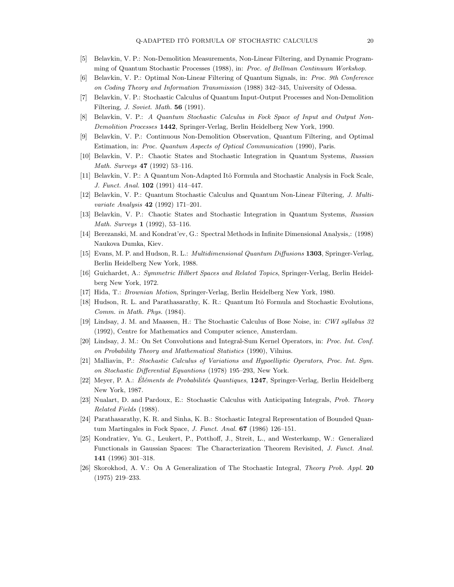- <span id="page-19-7"></span>[5] Belavkin, V. P.: Non-Demolition Measurements, Non-Linear Filtering, and Dynamic Programming of Quantum Stochastic Processes (1988), in: Proc. of Bellman Continuum Workshop.
- [6] Belavkin, V. P.: Optimal Non-Linear Filtering of Quantum Signals, in: Proc. 9th Conference on Coding Theory and Information Transmission (1988) 342–345, University of Odessa.
- <span id="page-19-5"></span>[7] Belavkin, V. P.: Stochastic Calculus of Quantum Input-Output Processes and Non-Demolition Filtering, J. Soviet. Math. 56 (1991).
- [8] Belavkin, V. P.: A Quantum Stochastic Calculus in Fock Space of Input and Output Non-Demolition Processes 1442, Springer-Verlag, Berlin Heidelberg New York, 1990.
- <span id="page-19-8"></span>[9] Belavkin, V. P.: Continuous Non-Demolition Observation, Quantum Filtering, and Optimal Estimation, in: Proc. Quantum Aspects of Optical Communication (1990), Paris.
- <span id="page-19-17"></span>[10] Belavkin, V. P.: Chaotic States and Stochastic Integration in Quantum Systems, Russian Math. Surveys 47 (1992) 53–116.
- <span id="page-19-0"></span>[11] Belavkin, V. P.: A Quantum Non-Adapted Itô Formula and Stochastic Analysis in Fock Scale, J. Funct. Anal. 102 (1991) 414–447.
- <span id="page-19-6"></span>[12] Belavkin, V. P.: Quantum Stochastic Calculus and Quantum Non-Linear Filtering, J. Multivariate Analysis 42 (1992) 171–201.
- <span id="page-19-10"></span>[13] Belavkin, V. P.: Chaotic States and Stochastic Integration in Quantum Systems, Russian Math. Surveys 1 (1992), 53–116.
- <span id="page-19-14"></span>[14] Berezanski, M. and Kondrat'ev, G.: Spectral Methods in Infinite Dimensional Analysis,: (1998) Naukova Dumka, Kiev.
- <span id="page-19-4"></span>[15] Evans, M. P. and Hudson, R. L.: Multidimensional Quantum Diffusions 1303, Springer-Verlag, Berlin Heidelberg New York, 1988.
- <span id="page-19-16"></span>[16] Guichardet, A.: Symmetric Hilbert Spaces and Related Topics, Springer-Verlag, Berlin Heidelberg New York, 1972.
- <span id="page-19-12"></span>[17] Hida, T.: Brownian Motion, Springer-Verlag, Berlin Heidelberg New York, 1980.
- <span id="page-19-1"></span>[18] Hudson, R. L. and Parathasarathy, K. R.: Quantum Itô Formula and Stochastic Evolutions, Comm. in Math. Phys. (1984).
- <span id="page-19-3"></span>[19] Lindsay, J. M. and Maassen, H.: The Stochastic Calculus of Bose Noise, in: CWI syllabus 32 (1992), Centre for Mathematics and Computer science, Amsterdam.
- <span id="page-19-15"></span>[20] Lindsay, J. M.: On Set Convolutions and Integral-Sum Kernel Operators, in: Proc. Int. Conf. on Probability Theory and Mathematical Statistics (1990), Vilnius.
- <span id="page-19-18"></span>[21] Malliavin, P.: Stochastic Calculus of Variations and Hypoelliptic Operators, Proc. Int. Sym. on Stochastic Differential Equantions (1978) 195–293, New York.
- <span id="page-19-2"></span>[22] Meyer, P. A.: Eléments de Probabilités Quantiques, 1247, Springer-Verlag, Berlin Heidelberg New York, 1987.
- <span id="page-19-11"></span>[23] Nualart, D. and Pardoux, E.: Stochastic Calculus with Anticipating Integrals, Prob. Theory Related Fields (1988).
- <span id="page-19-9"></span>[24] Parathasarathy, K. R. and Sinha, K. B.: Stochastic Integral Representation of Bounded Quantum Martingales in Fock Space, J. Funct. Anal. 67 (1986) 126–151.
- <span id="page-19-13"></span>[25] Kondratiev, Yu. G., Leukert, P., Potthoff, J., Streit, L., and Westerkamp, W.: Generalized Functionals in Gaussian Spaces: The Characterization Theorem Revisited, J. Funct. Anal. 141 (1996) 301–318.
- [26] Skorokhod, A. V.: On A Generalization of The Stochastic Integral, Theory Prob. Appl. 20 (1975) 219–233.